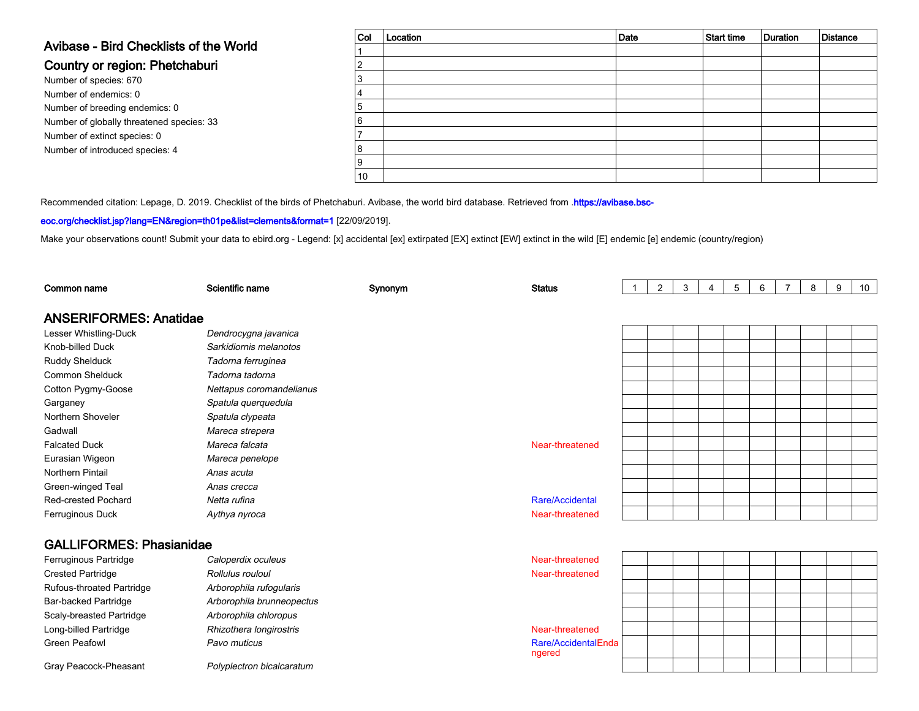# Avibase - Bird Checklists of the World

#### Country or region: Phetchaburi

Number of species: 670 Number of endemics: 0 Number of breeding endemics: 0 Number of globally threatened species: 33Number of extinct species: 0Number of introduced species: 4

| <sub>Col</sub> | Location | Date | Start time | Duration | Distance |
|----------------|----------|------|------------|----------|----------|
|                |          |      |            |          |          |
| $\overline{2}$ |          |      |            |          |          |
| 3              |          |      |            |          |          |
| 14             |          |      |            |          |          |
| 15             |          |      |            |          |          |
| 6              |          |      |            |          |          |
| ⇁              |          |      |            |          |          |
| 8              |          |      |            |          |          |
| 9              |          |      |            |          |          |
| 10             |          |      |            |          |          |

Recommended citation: Lepage, D. 2019. Checklist of the birds of Phetchaburi. Avibase, the world bird database. Retrieved from .[https://avibase.bsc-](https://avibase.bsc-eoc.org/checklist.jsp?lang=EN®ion=th01pe&list=clements&format=1)

[eoc.org/checklist.jsp?lang=EN&region=th01pe&list=clements&format=1](https://avibase.bsc-eoc.org/checklist.jsp?lang=EN®ion=th01pe&list=clements&format=1) [22/09/2019].

Make your observations count! Submit your data to [ebird.org](https://ebird.org) - Legend: [x] accidental [ex] extirpated [EX] extinct [EW] extinct in the wild [E] endemic [e] endemic (country/region)

| Common name                     | Scientific name           | Synonym | <b>Status</b>                 | $\overline{2}$ | 3 | 4 | 5 | 6 | $\overline{7}$ | 8 | 9 | 10 <sup>1</sup> |
|---------------------------------|---------------------------|---------|-------------------------------|----------------|---|---|---|---|----------------|---|---|-----------------|
| <b>ANSERIFORMES: Anatidae</b>   |                           |         |                               |                |   |   |   |   |                |   |   |                 |
| Lesser Whistling-Duck           | Dendrocygna javanica      |         |                               |                |   |   |   |   |                |   |   |                 |
| Knob-billed Duck                | Sarkidiornis melanotos    |         |                               |                |   |   |   |   |                |   |   |                 |
| Ruddy Shelduck                  | Tadorna ferruginea        |         |                               |                |   |   |   |   |                |   |   |                 |
| Common Shelduck                 | Tadorna tadorna           |         |                               |                |   |   |   |   |                |   |   |                 |
| Cotton Pygmy-Goose              | Nettapus coromandelianus  |         |                               |                |   |   |   |   |                |   |   |                 |
| Garganey                        | Spatula querquedula       |         |                               |                |   |   |   |   |                |   |   |                 |
| Northern Shoveler               | Spatula clypeata          |         |                               |                |   |   |   |   |                |   |   |                 |
| Gadwall                         | Mareca strepera           |         |                               |                |   |   |   |   |                |   |   |                 |
| <b>Falcated Duck</b>            | Mareca falcata            |         | Near-threatened               |                |   |   |   |   |                |   |   |                 |
| Eurasian Wigeon                 | Mareca penelope           |         |                               |                |   |   |   |   |                |   |   |                 |
| <b>Northern Pintail</b>         | Anas acuta                |         |                               |                |   |   |   |   |                |   |   |                 |
| Green-winged Teal               | Anas crecca               |         |                               |                |   |   |   |   |                |   |   |                 |
| Red-crested Pochard             | Netta rufina              |         | Rare/Accidental               |                |   |   |   |   |                |   |   |                 |
| Ferruginous Duck                | Aythya nyroca             |         | Near-threatened               |                |   |   |   |   |                |   |   |                 |
| <b>GALLIFORMES: Phasianidae</b> |                           |         |                               |                |   |   |   |   |                |   |   |                 |
| Ferruginous Partridge           | Caloperdix oculeus        |         | Near-threatened               |                |   |   |   |   |                |   |   |                 |
| <b>Crested Partridge</b>        | Rollulus rouloul          |         | Near-threatened               |                |   |   |   |   |                |   |   |                 |
| Rufous-throated Partridge       | Arborophila rufogularis   |         |                               |                |   |   |   |   |                |   |   |                 |
| Bar-backed Partridge            | Arborophila brunneopectus |         |                               |                |   |   |   |   |                |   |   |                 |
| Scaly-breasted Partridge        | Arborophila chloropus     |         |                               |                |   |   |   |   |                |   |   |                 |
| Long-billed Partridge           | Rhizothera longirostris   |         | Near-threatened               |                |   |   |   |   |                |   |   |                 |
| <b>Green Peafowl</b>            | Pavo muticus              |         | Rare/AccidentalEnda<br>ngered |                |   |   |   |   |                |   |   |                 |
| Gray Peacock-Pheasant           | Polyplectron bicalcaratum |         |                               |                |   |   |   |   |                |   |   |                 |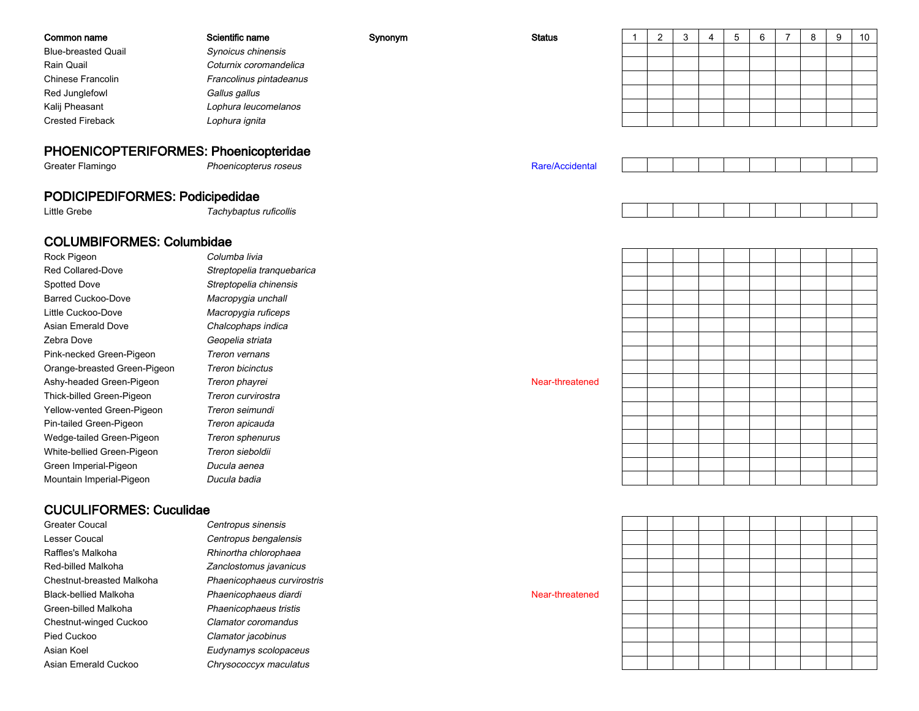| Common name                | Scientific name         | Synonym | <b>Status</b> | ົ |  | 6 |  | 10 |
|----------------------------|-------------------------|---------|---------------|---|--|---|--|----|
| <b>Blue-breasted Quail</b> | Synoicus chinensis      |         |               |   |  |   |  |    |
| Rain Quail                 | Coturnix coromandelica  |         |               |   |  |   |  |    |
| Chinese Francolin          | Francolinus pintadeanus |         |               |   |  |   |  |    |
| Red Junglefowl             | Gallus gallus           |         |               |   |  |   |  |    |
| Kalij Pheasant             | Lophura leucomelanos    |         |               |   |  |   |  |    |
| <b>Crested Fireback</b>    | Lophura ignita          |         |               |   |  |   |  |    |
|                            |                         |         |               |   |  |   |  |    |

#### PHOENICOPTERIFORMES: Phoenicopteridae

Greater Flamingo

Little Grebe

Tachybaptus ruficollis

Streptopelia tranquebarica

Streptopelia chinensis

Macropygia unchall

Macropygia ruficeps

Chalcophaps indica

Geopelia striata

Treron vernans

Treron bicinctus<br>Treron phayrei

Treron curvirostra

Treron seimundi

Treron apicauda

Treron sieboldii

Ducula aenea

Ducula badia

Treron sphenurus

#### COLUMBIFORMES: Columbidae

PODICIPEDIFORMES: Podicipedidae

n Columba livia Rock PigeonRed Collared-DoveSpotted DoveBarred Cuckoo-DoveLittle Cuckoo-DoveAsian Emerald DoveZebra DovePink-necked Green-PigeonOrange-breasted Green-PigeonAshy-headed Green-Pigeonn *Treron phayrei* Near-threatened and the set of the set of the set of the set of the set of the set of the set of the set of the set of the set of the set of the set of the set of the set of the set of the set of the set Thick-billed Green-PigeonYellow-vented Green-PigeonPin-tailed Green-PigeonWedge-tailed Green-PigeonWhite-bellied Green-PigeonGreen Imperial-PigeonMountain Imperial-Pigeon

#### CUCULIFORMES: Cuculidae

Greater CoucalLesser CoucalRaffles's MalkohaRed-billed MalkohaChestnut-breasted MalkohaBlack-bellied MalkohaGreen-billed MalkohaChestnut-winged CuckooPied CuckooAsian Koelo Chrysococcyx maculatus Asian Emerald Cuckoo

 Centropus sinensis Centropus bengalensis Rhinortha chlorophaea Zanclostomus javanicus Phaenicophaeus curvirostris Phaenicophaeus diardi Near-threatened Near-threatened Phaenicophaeus tristis Clamator coromandus Clamator jacobinus Eudynamys scolopaceus

o Representative *Phoenicopterus roseus* Rare/Accidental Rare/Accidental References Rare/Accidental Rare/Accidental Rare Rare/Accidental Rare Rare  $\mathbb{R}$ 

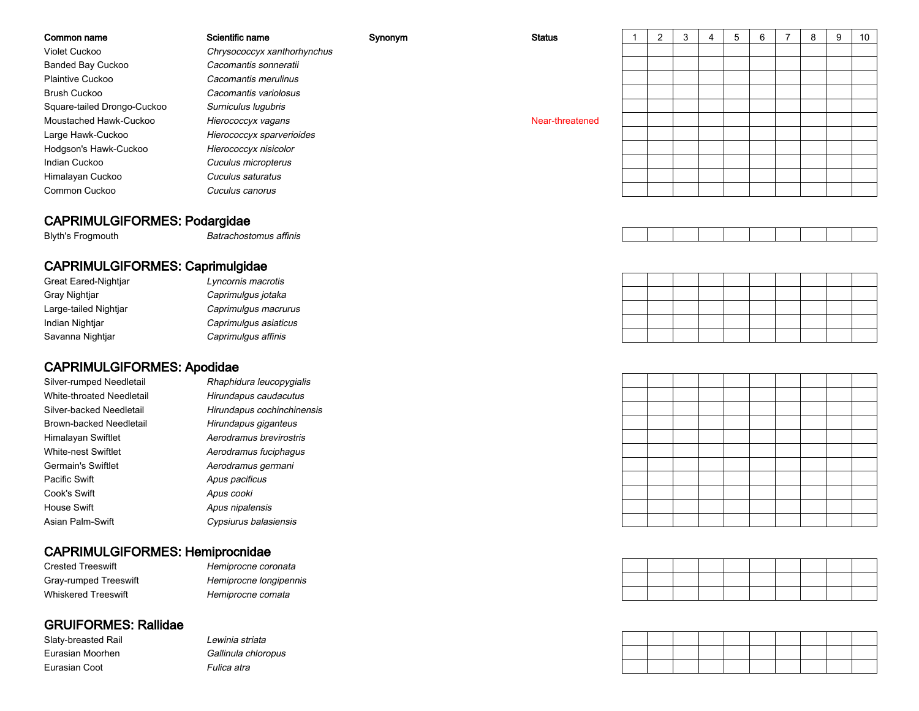| Common name                 | Scientific name             | Synonym | <b>Status</b>   | $\overline{2}$ | 3 | ৬ | 6 | 8 | 9 | 10 |
|-----------------------------|-----------------------------|---------|-----------------|----------------|---|---|---|---|---|----|
| Violet Cuckoo               | Chrysococcyx xanthorhynchus |         |                 |                |   |   |   |   |   |    |
| <b>Banded Bay Cuckoo</b>    | Cacomantis sonneratii       |         |                 |                |   |   |   |   |   |    |
| Plaintive Cuckoo            | Cacomantis merulinus        |         |                 |                |   |   |   |   |   |    |
| Brush Cuckoo                | Cacomantis variolosus       |         |                 |                |   |   |   |   |   |    |
| Square-tailed Drongo-Cuckoo | Surniculus lugubris         |         |                 |                |   |   |   |   |   |    |
| Moustached Hawk-Cuckoo      | Hierococcyx vagans          |         | Near-threatened |                |   |   |   |   |   |    |
| Large Hawk-Cuckoo           | Hierococcyx sparverioides   |         |                 |                |   |   |   |   |   |    |
| Hodgson's Hawk-Cuckoo       | Hierococcyx nisicolor       |         |                 |                |   |   |   |   |   |    |
| Indian Cuckoo               | Cuculus micropterus         |         |                 |                |   |   |   |   |   |    |
| Himalayan Cuckoo            | Cuculus saturatus           |         |                 |                |   |   |   |   |   |    |
| Common Cuckoo               | Cuculus canorus             |         |                 |                |   |   |   |   |   |    |

#### CAPRIMULGIFORMES: Podargidae

Blyth's Frogmouth

h Batrachostomus affinis

# CAPRIMULGIFORMES: Caprimulgidae

| <b>Great Eared-Nightiar</b> | Lyncornis macrotis    |
|-----------------------------|-----------------------|
| Gray Nightjar               | Caprimulgus jotaka    |
| Large-tailed Nightjar       | Caprimulgus macrurus  |
| Indian Nightjar             | Caprimulgus asiaticus |
| Savanna Nightjar            | Caprimulgus affinis   |

### CAPRIMULGIFORMES: Apodidae

| Silver-rumped Needletail  | Rhaphidura leucopygialis   |
|---------------------------|----------------------------|
| White-throated Needletail | Hirundapus caudacutus      |
| Silver-backed Needletail  | Hirundapus cochinchinensis |
| Brown-backed Needletail   | Hirundapus giganteus       |
| Himalayan Swiftlet        | Aerodramus brevirostris    |
| White-nest Swiftlet       | Aerodramus fuciphagus      |
| Germain's Swiftlet        | Aerodramus germani         |
| Pacific Swift             | Apus pacificus             |
| Cook's Swift              | Apus cooki                 |
| House Swift               | Apus nipalensis            |
| Asian Palm-Swift          | Cypsiurus balasiensis      |

# CAPRIMULGIFORMES: Hemiprocnidae

Crested TreeswiftGray-rumped TreeswiftWhiskered Treeswift

t **Hemiprocne coronata** t **Hemiprocne longipennis** Hemiprocne comata

# GRUIFORMES: Rallidae

Slaty-breasted RailEurasian MoorhenEurasian Coot

 Lewinia striatan Gallinula chloropus Fulica atra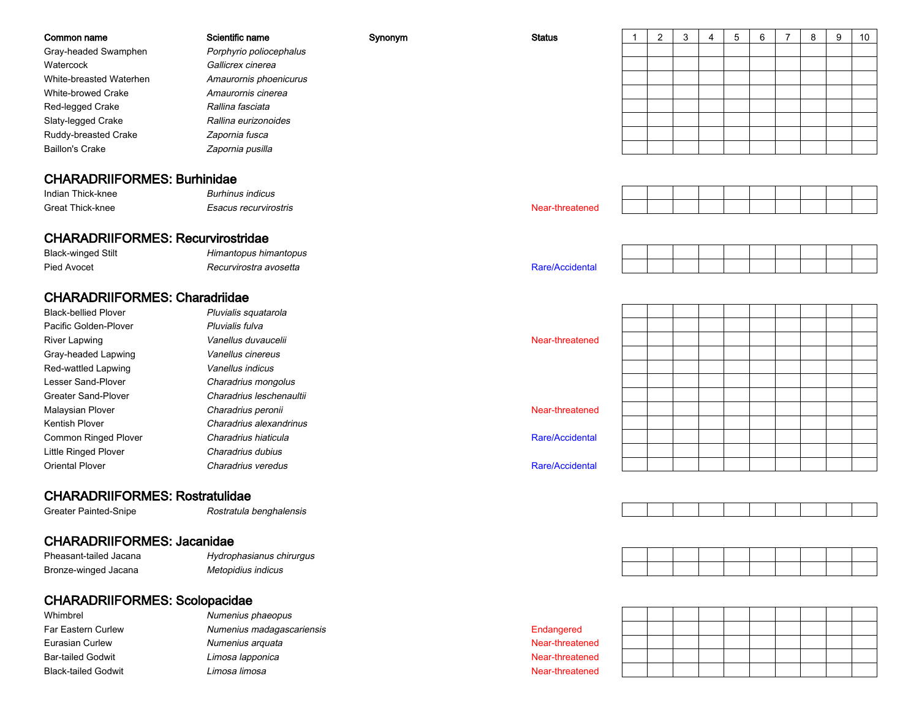| Common name                              | Scientific name          | Synonym | <b>Status</b>   | -1 | $\overline{2}$ | 3 | 4 | 5 | 6 | $\overline{7}$ | 8 | 9 | 10 |
|------------------------------------------|--------------------------|---------|-----------------|----|----------------|---|---|---|---|----------------|---|---|----|
| Gray-headed Swamphen                     | Porphyrio poliocephalus  |         |                 |    |                |   |   |   |   |                |   |   |    |
| Watercock                                | Gallicrex cinerea        |         |                 |    |                |   |   |   |   |                |   |   |    |
| White-breasted Waterhen                  | Amaurornis phoenicurus   |         |                 |    |                |   |   |   |   |                |   |   |    |
| <b>White-browed Crake</b>                | Amaurornis cinerea       |         |                 |    |                |   |   |   |   |                |   |   |    |
| Red-legged Crake                         | Rallina fasciata         |         |                 |    |                |   |   |   |   |                |   |   |    |
| Slaty-legged Crake                       | Rallina eurizonoides     |         |                 |    |                |   |   |   |   |                |   |   |    |
| Ruddy-breasted Crake                     | Zapornia fusca           |         |                 |    |                |   |   |   |   |                |   |   |    |
| <b>Baillon's Crake</b>                   | Zapornia pusilla         |         |                 |    |                |   |   |   |   |                |   |   |    |
| <b>CHARADRIIFORMES: Burhinidae</b>       |                          |         |                 |    |                |   |   |   |   |                |   |   |    |
| Indian Thick-knee                        | <b>Burhinus indicus</b>  |         |                 |    |                |   |   |   |   |                |   |   |    |
| <b>Great Thick-knee</b>                  | Esacus recurvirostris    |         | Near-threatened |    |                |   |   |   |   |                |   |   |    |
| <b>CHARADRIIFORMES: Recurvirostridae</b> |                          |         |                 |    |                |   |   |   |   |                |   |   |    |
| <b>Black-winged Stilt</b>                | Himantopus himantopus    |         |                 |    |                |   |   |   |   |                |   |   |    |
| Pied Avocet                              | Recurvirostra avosetta   |         | Rare/Accidental |    |                |   |   |   |   |                |   |   |    |
|                                          |                          |         |                 |    |                |   |   |   |   |                |   |   |    |
| <b>CHARADRIIFORMES: Charadriidae</b>     |                          |         |                 |    |                |   |   |   |   |                |   |   |    |
| <b>Black-bellied Plover</b>              | Pluvialis squatarola     |         |                 |    |                |   |   |   |   |                |   |   |    |
| Pacific Golden-Plover                    | Pluvialis fulva          |         |                 |    |                |   |   |   |   |                |   |   |    |
| <b>River Lapwing</b>                     | Vanellus duvaucelii      |         | Near-threatened |    |                |   |   |   |   |                |   |   |    |
| Gray-headed Lapwing                      | Vanellus cinereus        |         |                 |    |                |   |   |   |   |                |   |   |    |
| Red-wattled Lapwing                      | Vanellus indicus         |         |                 |    |                |   |   |   |   |                |   |   |    |
| Lesser Sand-Plover                       | Charadrius mongolus      |         |                 |    |                |   |   |   |   |                |   |   |    |
| <b>Greater Sand-Plover</b>               | Charadrius leschenaultii |         |                 |    |                |   |   |   |   |                |   |   |    |
| Malaysian Plover                         | Charadrius peronii       |         | Near-threatened |    |                |   |   |   |   |                |   |   |    |
| Kentish Plover                           | Charadrius alexandrinus  |         |                 |    |                |   |   |   |   |                |   |   |    |
| Common Ringed Plover                     | Charadrius hiaticula     |         | Rare/Accidental |    |                |   |   |   |   |                |   |   |    |
| Little Ringed Plover                     | Charadrius dubius        |         |                 |    |                |   |   |   |   |                |   |   |    |
| <b>Oriental Plover</b>                   | Charadrius veredus       |         | Rare/Accidental |    |                |   |   |   |   |                |   |   |    |
| <b>CHARADRIIFORMES: Rostratulidae</b>    |                          |         |                 |    |                |   |   |   |   |                |   |   |    |
| Greater Painted-Snipe                    | Rostratula benghalensis  |         |                 |    |                |   |   |   |   |                |   |   |    |
|                                          |                          |         |                 |    |                |   |   |   |   |                |   |   |    |

# CHARADRIIFORMES: Jacanidae

| Pheasant-tailed<br>Jacana | Hydrophasianus chirurgus         |  |  |  |  |  |
|---------------------------|----------------------------------|--|--|--|--|--|
| Bronze-winged<br>Jacana   | <i><b>Metopidius indicus</b></i> |  |  |  |  |  |

# CHARADRIIFORMES: Scolopacidae

- WhimbrelFar Eastern CurlewEurasian CurlewBar-tailed GodwitBlack-tailed Godwit
	- I and the *Numenius phaeopus* w **Numenius madagascariensis** entries and the material entries of the material entries of the material entries of the material entries of the material entries of the material entries of the material entries of the material Numenius arquata and the control of the control of the Near-threatened Limosa lapponicaLimosa limosa

 Near-threatened Near-threatened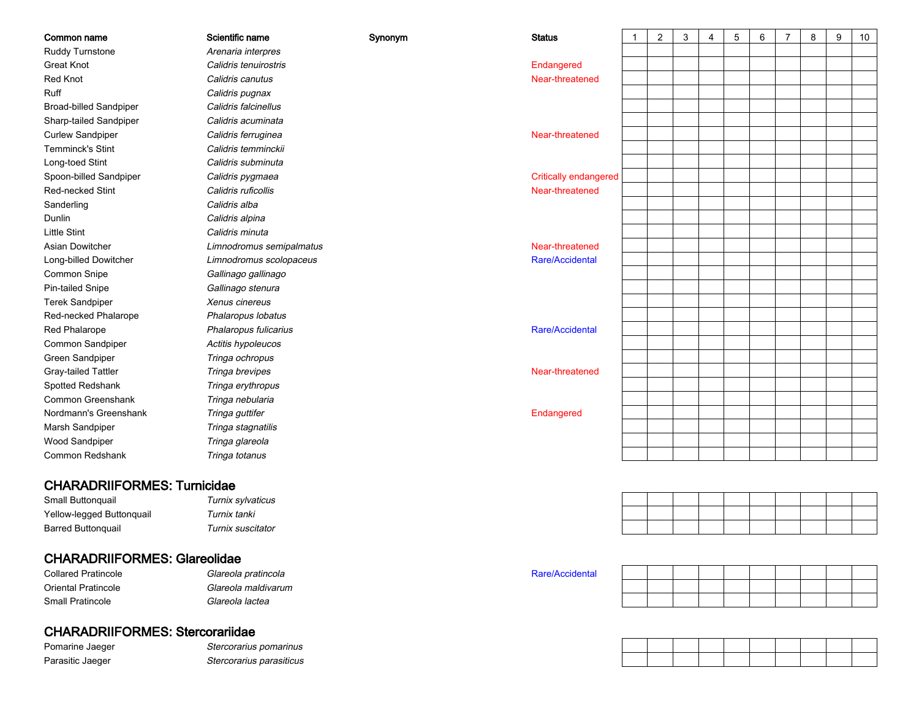| Common name                        | Scientific name          | Synonym | <b>Status</b>                | $\mathbf{1}$ | $\overline{2}$ | 3 | 4 | 5 | 6 | $\overline{7}$ | 8 | 9 | 10 |
|------------------------------------|--------------------------|---------|------------------------------|--------------|----------------|---|---|---|---|----------------|---|---|----|
| Ruddy Turnstone                    | Arenaria interpres       |         |                              |              |                |   |   |   |   |                |   |   |    |
| <b>Great Knot</b>                  | Calidris tenuirostris    |         | Endangered                   |              |                |   |   |   |   |                |   |   |    |
| Red Knot                           | Calidris canutus         |         | Near-threatened              |              |                |   |   |   |   |                |   |   |    |
| Ruff                               | Calidris pugnax          |         |                              |              |                |   |   |   |   |                |   |   |    |
| <b>Broad-billed Sandpiper</b>      | Calidris falcinellus     |         |                              |              |                |   |   |   |   |                |   |   |    |
| Sharp-tailed Sandpiper             | Calidris acuminata       |         |                              |              |                |   |   |   |   |                |   |   |    |
| <b>Curlew Sandpiper</b>            | Calidris ferruginea      |         | Near-threatened              |              |                |   |   |   |   |                |   |   |    |
| <b>Temminck's Stint</b>            | Calidris temminckii      |         |                              |              |                |   |   |   |   |                |   |   |    |
| Long-toed Stint                    | Calidris subminuta       |         |                              |              |                |   |   |   |   |                |   |   |    |
| Spoon-billed Sandpiper             | Calidris pygmaea         |         | <b>Critically endangered</b> |              |                |   |   |   |   |                |   |   |    |
| <b>Red-necked Stint</b>            | Calidris ruficollis      |         | Near-threatened              |              |                |   |   |   |   |                |   |   |    |
| Sanderling                         | Calidris alba            |         |                              |              |                |   |   |   |   |                |   |   |    |
| Dunlin                             | Calidris alpina          |         |                              |              |                |   |   |   |   |                |   |   |    |
| <b>Little Stint</b>                | Calidris minuta          |         |                              |              |                |   |   |   |   |                |   |   |    |
| Asian Dowitcher                    | Limnodromus semipalmatus |         | Near-threatened              |              |                |   |   |   |   |                |   |   |    |
| Long-billed Dowitcher              | Limnodromus scolopaceus  |         | Rare/Accidental              |              |                |   |   |   |   |                |   |   |    |
| Common Snipe                       | Gallinago gallinago      |         |                              |              |                |   |   |   |   |                |   |   |    |
| <b>Pin-tailed Snipe</b>            | Gallinago stenura        |         |                              |              |                |   |   |   |   |                |   |   |    |
| <b>Terek Sandpiper</b>             | Xenus cinereus           |         |                              |              |                |   |   |   |   |                |   |   |    |
| Red-necked Phalarope               | Phalaropus lobatus       |         |                              |              |                |   |   |   |   |                |   |   |    |
| Red Phalarope                      | Phalaropus fulicarius    |         | Rare/Accidental              |              |                |   |   |   |   |                |   |   |    |
| Common Sandpiper                   | Actitis hypoleucos       |         |                              |              |                |   |   |   |   |                |   |   |    |
| Green Sandpiper                    | Tringa ochropus          |         |                              |              |                |   |   |   |   |                |   |   |    |
| Gray-tailed Tattler                | Tringa brevipes          |         | Near-threatened              |              |                |   |   |   |   |                |   |   |    |
| Spotted Redshank                   | Tringa erythropus        |         |                              |              |                |   |   |   |   |                |   |   |    |
| Common Greenshank                  | Tringa nebularia         |         |                              |              |                |   |   |   |   |                |   |   |    |
| Nordmann's Greenshank              | Tringa guttifer          |         | Endangered                   |              |                |   |   |   |   |                |   |   |    |
| Marsh Sandpiper                    | Tringa stagnatilis       |         |                              |              |                |   |   |   |   |                |   |   |    |
| Wood Sandpiper                     | Tringa glareola          |         |                              |              |                |   |   |   |   |                |   |   |    |
| Common Redshank                    | Tringa totanus           |         |                              |              |                |   |   |   |   |                |   |   |    |
| <b>CHARADRIIFORMES: Turnicidae</b> |                          |         |                              |              |                |   |   |   |   |                |   |   |    |
| Small Buttonquail                  | Turnix sylvaticus        |         |                              |              |                |   |   |   |   |                |   |   |    |
| Yellow-legged Buttonquail          | Turnix tanki             |         |                              |              |                |   |   |   |   |                |   |   |    |
|                                    |                          |         |                              |              |                |   |   |   |   |                |   |   |    |
| <b>Barred Buttonquail</b>          | Turnix suscitator        |         |                              |              |                |   |   |   |   |                |   |   |    |



 Glareola pratincola Rare/Accidental Collared PratincoleOriental Pratincole

CHARADRIIFORMES: Glareolidae

 Glareola maldivarumGlareola lactea

# CHARADRIIFORMES: Stercorariidae

Pomarine JaegerParasitic Jaeger

Small Pratincole

 Stercorarius pomarinusStercorarius parasiticus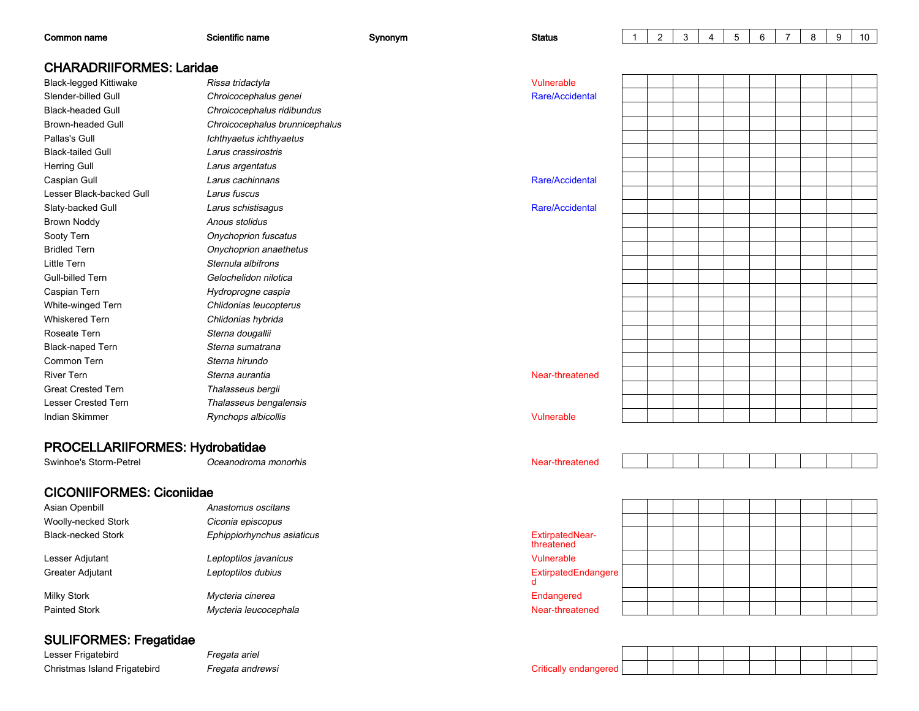| Common name                      | Scientific name                | Synonym | <b>Status</b>                        | $\overline{1}$ | $\overline{c}$ | 3 | 4 | 5 | 6 | $\overline{7}$ | 8 | 9 | 10 |
|----------------------------------|--------------------------------|---------|--------------------------------------|----------------|----------------|---|---|---|---|----------------|---|---|----|
| <b>CHARADRIIFORMES: Laridae</b>  |                                |         |                                      |                |                |   |   |   |   |                |   |   |    |
| <b>Black-legged Kittiwake</b>    | Rissa tridactyla               |         | <b>Vulnerable</b>                    |                |                |   |   |   |   |                |   |   |    |
| Slender-billed Gull              | Chroicocephalus genei          |         | Rare/Accidental                      |                |                |   |   |   |   |                |   |   |    |
| <b>Black-headed Gull</b>         | Chroicocephalus ridibundus     |         |                                      |                |                |   |   |   |   |                |   |   |    |
| <b>Brown-headed Gull</b>         | Chroicocephalus brunnicephalus |         |                                      |                |                |   |   |   |   |                |   |   |    |
| Pallas's Gull                    | Ichthyaetus ichthyaetus        |         |                                      |                |                |   |   |   |   |                |   |   |    |
| <b>Black-tailed Gull</b>         | Larus crassirostris            |         |                                      |                |                |   |   |   |   |                |   |   |    |
| <b>Herring Gull</b>              | Larus argentatus               |         |                                      |                |                |   |   |   |   |                |   |   |    |
| Caspian Gull                     | Larus cachinnans               |         | Rare/Accidental                      |                |                |   |   |   |   |                |   |   |    |
| Lesser Black-backed Gull         | Larus fuscus                   |         |                                      |                |                |   |   |   |   |                |   |   |    |
| Slaty-backed Gull                | Larus schistisagus             |         | <b>Rare/Accidental</b>               |                |                |   |   |   |   |                |   |   |    |
| Brown Noddy                      | Anous stolidus                 |         |                                      |                |                |   |   |   |   |                |   |   |    |
| Sooty Tern                       | Onychoprion fuscatus           |         |                                      |                |                |   |   |   |   |                |   |   |    |
| <b>Bridled Tern</b>              | Onychoprion anaethetus         |         |                                      |                |                |   |   |   |   |                |   |   |    |
| Little Tern                      | Sternula albifrons             |         |                                      |                |                |   |   |   |   |                |   |   |    |
| Gull-billed Tern                 | Gelochelidon nilotica          |         |                                      |                |                |   |   |   |   |                |   |   |    |
| Caspian Tern                     | Hydroprogne caspia             |         |                                      |                |                |   |   |   |   |                |   |   |    |
| White-winged Tern                | Chlidonias leucopterus         |         |                                      |                |                |   |   |   |   |                |   |   |    |
| <b>Whiskered Tern</b>            | Chlidonias hybrida             |         |                                      |                |                |   |   |   |   |                |   |   |    |
| Roseate Tern                     | Sterna dougallii               |         |                                      |                |                |   |   |   |   |                |   |   |    |
| <b>Black-naped Tern</b>          | Sterna sumatrana               |         |                                      |                |                |   |   |   |   |                |   |   |    |
| Common Tern                      | Sterna hirundo                 |         |                                      |                |                |   |   |   |   |                |   |   |    |
| <b>River Tern</b>                | Sterna aurantia                |         | Near-threatened                      |                |                |   |   |   |   |                |   |   |    |
| <b>Great Crested Tern</b>        | Thalasseus bergii              |         |                                      |                |                |   |   |   |   |                |   |   |    |
| <b>Lesser Crested Tern</b>       | Thalasseus bengalensis         |         |                                      |                |                |   |   |   |   |                |   |   |    |
| <b>Indian Skimmer</b>            | Rynchops albicollis            |         | Vulnerable                           |                |                |   |   |   |   |                |   |   |    |
|                                  |                                |         |                                      |                |                |   |   |   |   |                |   |   |    |
| PROCELLARIIFORMES: Hydrobatidae  |                                |         |                                      |                |                |   |   |   |   |                |   |   |    |
| Swinhoe's Storm-Petrel           | Oceanodroma monorhis           |         | Near-threatened                      |                |                |   |   |   |   |                |   |   |    |
|                                  |                                |         |                                      |                |                |   |   |   |   |                |   |   |    |
| <b>CICONIIFORMES: Ciconiidae</b> |                                |         |                                      |                |                |   |   |   |   |                |   |   |    |
| Asian Openbill                   | Anastomus oscitans             |         |                                      |                |                |   |   |   |   |                |   |   |    |
| Woolly-necked Stork              | Ciconia episcopus              |         |                                      |                |                |   |   |   |   |                |   |   |    |
| <b>Black-necked Stork</b>        | Ephippiorhynchus asiaticus     |         | <b>ExtirpatedNear-</b><br>threatened |                |                |   |   |   |   |                |   |   |    |
| Lesser Adjutant                  | Leptoptilos javanicus          |         | Vulnerable                           |                |                |   |   |   |   |                |   |   |    |
| <b>Greater Adjutant</b>          | Leptoptilos dubius             |         | ExtirpatedEndangere                  |                |                |   |   |   |   |                |   |   |    |
|                                  |                                |         | d                                    |                |                |   |   |   |   |                |   |   |    |
| Milky Stork                      | Mycteria cinerea               |         | Endangered                           |                |                |   |   |   |   |                |   |   |    |
| Painted Stork                    | Mycteria leucocephala          |         | Near-threatened                      |                |                |   |   |   |   |                |   |   |    |
|                                  |                                |         |                                      |                |                |   |   |   |   |                |   |   |    |
| <b>SULIFORMES: Fregatidae</b>    |                                |         |                                      |                |                |   |   |   |   |                |   |   |    |
| Lesser Frigatebird               | Fregata ariel                  |         |                                      |                |                |   |   |   |   |                |   |   |    |
| Christmas Island Frigatebird     | Fregata andrewsi               |         | <b>Critically endangered</b>         |                |                |   |   |   |   |                |   |   |    |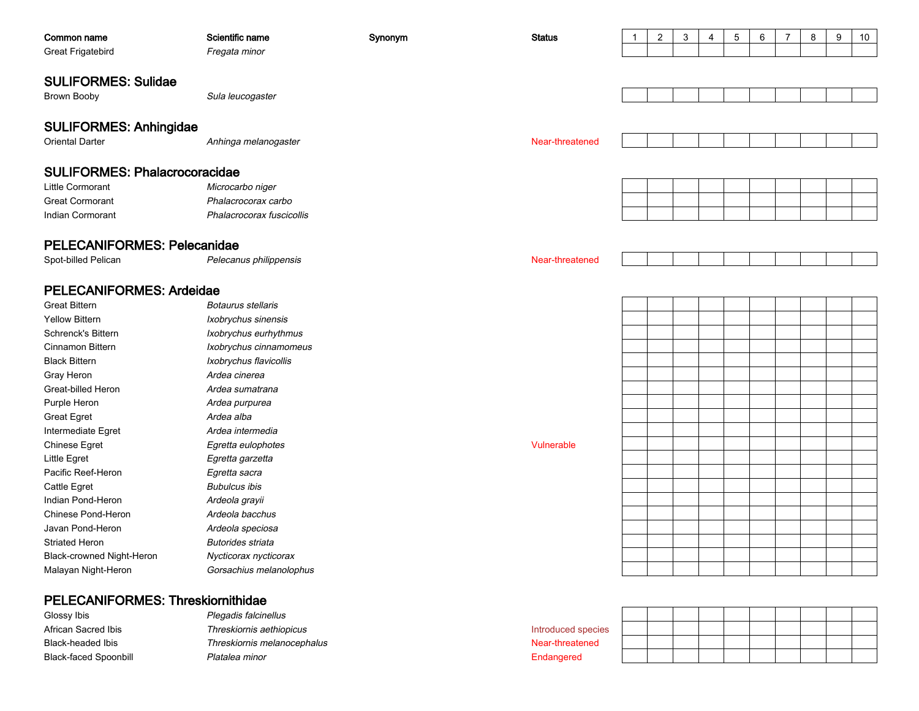| Common name<br><b>Great Frigatebird</b>  | Scientific name<br>Fregata minor | Synonym | <b>Status</b>      | -1 | $\overline{2}$ | 3 | 4 | 5 | 6 | $\overline{7}$ | 8 | 9 | 10 |
|------------------------------------------|----------------------------------|---------|--------------------|----|----------------|---|---|---|---|----------------|---|---|----|
|                                          |                                  |         |                    |    |                |   |   |   |   |                |   |   |    |
| <b>SULIFORMES: Sulidae</b>               |                                  |         |                    |    |                |   |   |   |   |                |   |   |    |
| Brown Booby                              | Sula leucogaster                 |         |                    |    |                |   |   |   |   |                |   |   |    |
|                                          |                                  |         |                    |    |                |   |   |   |   |                |   |   |    |
| <b>SULIFORMES: Anhingidae</b>            |                                  |         |                    |    |                |   |   |   |   |                |   |   |    |
| <b>Oriental Darter</b>                   | Anhinga melanogaster             |         | Near-threatened    |    |                |   |   |   |   |                |   |   |    |
|                                          |                                  |         |                    |    |                |   |   |   |   |                |   |   |    |
| <b>SULIFORMES: Phalacrocoracidae</b>     |                                  |         |                    |    |                |   |   |   |   |                |   |   |    |
| Little Cormorant                         | Microcarbo niger                 |         |                    |    |                |   |   |   |   |                |   |   |    |
| <b>Great Cormorant</b>                   | Phalacrocorax carbo              |         |                    |    |                |   |   |   |   |                |   |   |    |
| <b>Indian Cormorant</b>                  | Phalacrocorax fuscicollis        |         |                    |    |                |   |   |   |   |                |   |   |    |
| <b>PELECANIFORMES: Pelecanidae</b>       |                                  |         |                    |    |                |   |   |   |   |                |   |   |    |
| Spot-billed Pelican                      | Pelecanus philippensis           |         | Near-threatened    |    |                |   |   |   |   |                |   |   |    |
|                                          |                                  |         |                    |    |                |   |   |   |   |                |   |   |    |
| <b>PELECANIFORMES: Ardeidae</b>          |                                  |         |                    |    |                |   |   |   |   |                |   |   |    |
| <b>Great Bittern</b>                     | <b>Botaurus stellaris</b>        |         |                    |    |                |   |   |   |   |                |   |   |    |
| <b>Yellow Bittern</b>                    | Ixobrychus sinensis              |         |                    |    |                |   |   |   |   |                |   |   |    |
| Schrenck's Bittern                       | Ixobrychus eurhythmus            |         |                    |    |                |   |   |   |   |                |   |   |    |
| Cinnamon Bittern                         | Ixobrychus cinnamomeus           |         |                    |    |                |   |   |   |   |                |   |   |    |
| <b>Black Bittern</b>                     | Ixobrychus flavicollis           |         |                    |    |                |   |   |   |   |                |   |   |    |
| Gray Heron                               | Ardea cinerea                    |         |                    |    |                |   |   |   |   |                |   |   |    |
| Great-billed Heron                       | Ardea sumatrana                  |         |                    |    |                |   |   |   |   |                |   |   |    |
| Purple Heron                             | Ardea purpurea                   |         |                    |    |                |   |   |   |   |                |   |   |    |
| <b>Great Egret</b>                       | Ardea alba                       |         |                    |    |                |   |   |   |   |                |   |   |    |
| Intermediate Egret                       | Ardea intermedia                 |         |                    |    |                |   |   |   |   |                |   |   |    |
| Chinese Egret                            | Egretta eulophotes               |         | Vulnerable         |    |                |   |   |   |   |                |   |   |    |
| Little Egret                             | Egretta garzetta                 |         |                    |    |                |   |   |   |   |                |   |   |    |
| Pacific Reef-Heron                       | Egretta sacra                    |         |                    |    |                |   |   |   |   |                |   |   |    |
| Cattle Egret                             | <b>Bubulcus ibis</b>             |         |                    |    |                |   |   |   |   |                |   |   |    |
| Indian Pond-Heron                        | Ardeola grayii                   |         |                    |    |                |   |   |   |   |                |   |   |    |
| Chinese Pond-Heron                       | Ardeola bacchus                  |         |                    |    |                |   |   |   |   |                |   |   |    |
| Javan Pond-Heron                         | Ardeola speciosa                 |         |                    |    |                |   |   |   |   |                |   |   |    |
| <b>Striated Heron</b>                    | <b>Butorides striata</b>         |         |                    |    |                |   |   |   |   |                |   |   |    |
| Black-crowned Night-Heron                | Nycticorax nycticorax            |         |                    |    |                |   |   |   |   |                |   |   |    |
| Malayan Night-Heron                      | Gorsachius melanolophus          |         |                    |    |                |   |   |   |   |                |   |   |    |
|                                          |                                  |         |                    |    |                |   |   |   |   |                |   |   |    |
| <b>PELECANIFORMES: Threskiornithidae</b> |                                  |         |                    |    |                |   |   |   |   |                |   |   |    |
| Glossy Ibis                              | Plegadis falcinellus             |         |                    |    |                |   |   |   |   |                |   |   |    |
| African Sacred Ibis                      | Threskiornis aethiopicus         |         | Introduced species |    |                |   |   |   |   |                |   |   |    |
| <b>Black-headed Ibis</b>                 | Threskiornis melanocephalus      |         | Near-threatened    |    |                |   |   |   |   |                |   |   |    |
| <b>Black-faced Spoonbill</b>             | Platalea minor                   |         | Endangered         |    |                |   |   |   |   |                |   |   |    |
|                                          |                                  |         |                    |    |                |   |   |   |   |                |   |   |    |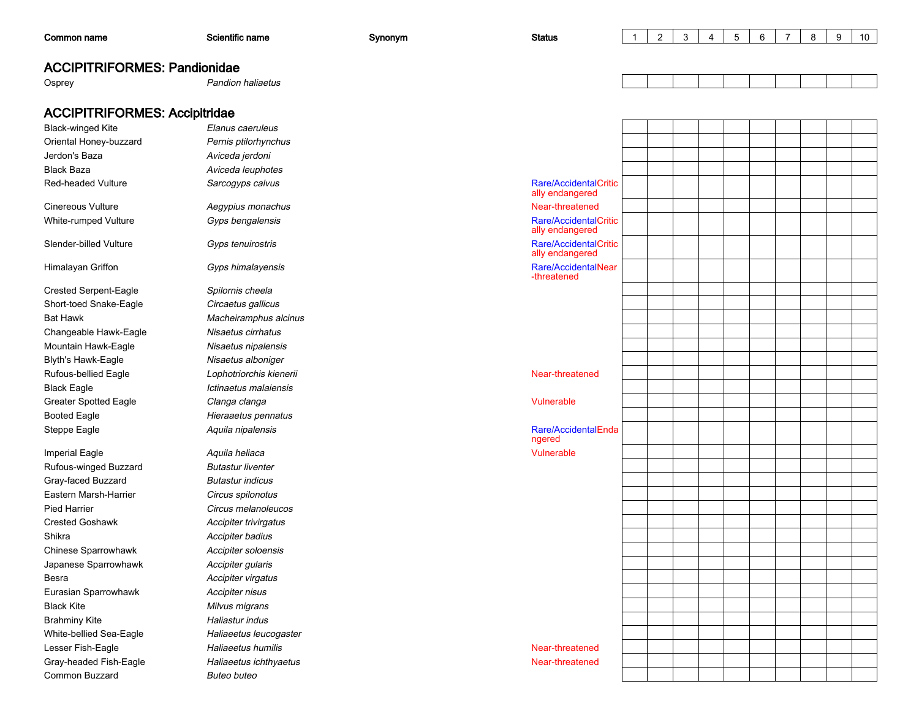| Common name                          | Scientific name          | Synonym | <b>Status</b>                            | $\mathbf{1}$ | $\overline{c}$ | 3 | 4 | 5 | 6 | $\overline{7}$ | 8 | 9 | 10 |
|--------------------------------------|--------------------------|---------|------------------------------------------|--------------|----------------|---|---|---|---|----------------|---|---|----|
| <b>ACCIPITRIFORMES: Pandionidae</b>  |                          |         |                                          |              |                |   |   |   |   |                |   |   |    |
|                                      |                          |         |                                          |              |                |   |   |   |   |                |   |   |    |
| Osprey                               | <b>Pandion haliaetus</b> |         |                                          |              |                |   |   |   |   |                |   |   |    |
| <b>ACCIPITRIFORMES: Accipitridae</b> |                          |         |                                          |              |                |   |   |   |   |                |   |   |    |
| <b>Black-winged Kite</b>             | Elanus caeruleus         |         |                                          |              |                |   |   |   |   |                |   |   |    |
| Oriental Honey-buzzard               | Pernis ptilorhynchus     |         |                                          |              |                |   |   |   |   |                |   |   |    |
| Jerdon's Baza                        | Aviceda jerdoni          |         |                                          |              |                |   |   |   |   |                |   |   |    |
| <b>Black Baza</b>                    | Aviceda leuphotes        |         |                                          |              |                |   |   |   |   |                |   |   |    |
| Red-headed Vulture                   | Sarcogyps calvus         |         | Rare/AccidentalCritic                    |              |                |   |   |   |   |                |   |   |    |
|                                      |                          |         | ally endangered                          |              |                |   |   |   |   |                |   |   |    |
| Cinereous Vulture                    | Aegypius monachus        |         | Near-threatened                          |              |                |   |   |   |   |                |   |   |    |
| White-rumped Vulture                 | Gyps bengalensis         |         | Rare/AccidentalCritic<br>ally endangered |              |                |   |   |   |   |                |   |   |    |
| Slender-billed Vulture               | Gyps tenuirostris        |         | Rare/AccidentalCritic<br>ally endangered |              |                |   |   |   |   |                |   |   |    |
| Himalayan Griffon                    | Gyps himalayensis        |         | Rare/AccidentalNear<br>-threatened       |              |                |   |   |   |   |                |   |   |    |
| <b>Crested Serpent-Eagle</b>         | Spilornis cheela         |         |                                          |              |                |   |   |   |   |                |   |   |    |
| Short-toed Snake-Eagle               | Circaetus gallicus       |         |                                          |              |                |   |   |   |   |                |   |   |    |
| <b>Bat Hawk</b>                      | Macheiramphus alcinus    |         |                                          |              |                |   |   |   |   |                |   |   |    |
| Changeable Hawk-Eagle                | Nisaetus cirrhatus       |         |                                          |              |                |   |   |   |   |                |   |   |    |
| Mountain Hawk-Eagle                  | Nisaetus nipalensis      |         |                                          |              |                |   |   |   |   |                |   |   |    |
| <b>Blyth's Hawk-Eagle</b>            | Nisaetus alboniger       |         |                                          |              |                |   |   |   |   |                |   |   |    |
| Rufous-bellied Eagle                 | Lophotriorchis kienerii  |         | Near-threatened                          |              |                |   |   |   |   |                |   |   |    |
| <b>Black Eagle</b>                   | Ictinaetus malaiensis    |         |                                          |              |                |   |   |   |   |                |   |   |    |
| <b>Greater Spotted Eagle</b>         | Clanga clanga            |         | Vulnerable                               |              |                |   |   |   |   |                |   |   |    |
| <b>Booted Eagle</b>                  | Hieraaetus pennatus      |         |                                          |              |                |   |   |   |   |                |   |   |    |
| Steppe Eagle                         | Aquila nipalensis        |         | Rare/AccidentalEnda<br>ngered            |              |                |   |   |   |   |                |   |   |    |
| <b>Imperial Eagle</b>                | Aquila heliaca           |         | Vulnerable                               |              |                |   |   |   |   |                |   |   |    |
| Rufous-winged Buzzard                | <b>Butastur liventer</b> |         |                                          |              |                |   |   |   |   |                |   |   |    |
| Gray-faced Buzzard                   | <b>Butastur indicus</b>  |         |                                          |              |                |   |   |   |   |                |   |   |    |
| Eastern Marsh-Harrier                | Circus spilonotus        |         |                                          |              |                |   |   |   |   |                |   |   |    |
| Pied Harrier                         | Circus melanoleucos      |         |                                          |              |                |   |   |   |   |                |   |   |    |
| <b>Crested Goshawk</b>               | Accipiter trivirgatus    |         |                                          |              |                |   |   |   |   |                |   |   |    |
| Shikra                               | Accipiter badius         |         |                                          |              |                |   |   |   |   |                |   |   |    |
| Chinese Sparrowhawk                  | Accipiter soloensis      |         |                                          |              |                |   |   |   |   |                |   |   |    |
| Japanese Sparrowhawk                 | Accipiter gularis        |         |                                          |              |                |   |   |   |   |                |   |   |    |
| Besra                                | Accipiter virgatus       |         |                                          |              |                |   |   |   |   |                |   |   |    |
| Eurasian Sparrowhawk                 | Accipiter nisus          |         |                                          |              |                |   |   |   |   |                |   |   |    |
| <b>Black Kite</b>                    | Milvus migrans           |         |                                          |              |                |   |   |   |   |                |   |   |    |
| <b>Brahminy Kite</b>                 | Haliastur indus          |         |                                          |              |                |   |   |   |   |                |   |   |    |
| White-bellied Sea-Eagle              | Haliaeetus leucogaster   |         |                                          |              |                |   |   |   |   |                |   |   |    |
| Lesser Fish-Eagle                    | Haliaeetus humilis       |         | Near-threatened                          |              |                |   |   |   |   |                |   |   |    |
| Gray-headed Fish-Eagle               | Haliaeetus ichthyaetus   |         | Near-threatened                          |              |                |   |   |   |   |                |   |   |    |
| Common Buzzard                       | <b>Buteo buteo</b>       |         |                                          |              |                |   |   |   |   |                |   |   |    |
|                                      |                          |         |                                          |              |                |   |   |   |   |                |   |   |    |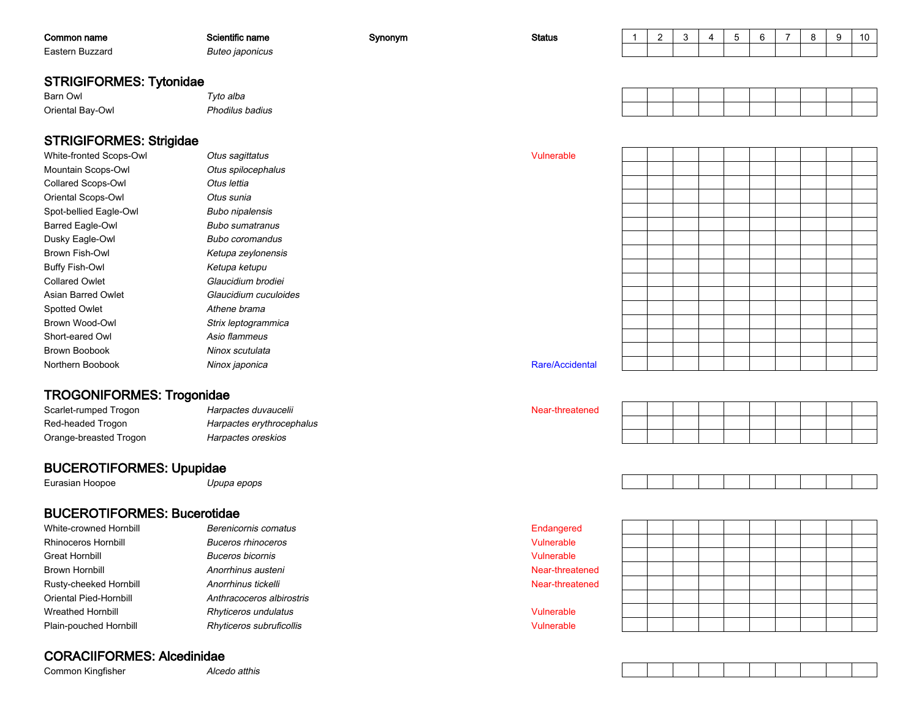| Common name                    | Scientific name | Synonym | <b>Status</b> |  | ◠<br>C. |  | 6 |  | റ | 10 |
|--------------------------------|-----------------|---------|---------------|--|---------|--|---|--|---|----|
| Eastern Buzzard                | Buteo japonicus |         |               |  |         |  |   |  |   |    |
|                                |                 |         |               |  |         |  |   |  |   |    |
| <b>STRIGIFORMES: Tytonidae</b> |                 |         |               |  |         |  |   |  |   |    |
| Barn Owl                       | Tyto alba       |         |               |  |         |  |   |  |   |    |
| Oriental Bay-Owl               | Phodilus badius |         |               |  |         |  |   |  |   |    |
|                                |                 |         |               |  |         |  |   |  |   |    |
| <b>STRIGIFORMES: Strigidae</b> |                 |         |               |  |         |  |   |  |   |    |

| White-fronted Scops-Owl | Otus sagittatus        | Vulnerable        |
|-------------------------|------------------------|-------------------|
| Mountain Scops-Owl      | Otus spilocephalus     |                   |
| Collared Scops-Owl      | Otus lettia            |                   |
| Oriental Scops-Owl      | Otus sunia             |                   |
| Spot-bellied Eagle-Owl  | <b>Bubo nipalensis</b> |                   |
| Barred Eagle-Owl        | Bubo sumatranus        |                   |
| Dusky Eagle-Owl         | Bubo coromandus        |                   |
| Brown Fish-Owl          | Ketupa zeylonensis     |                   |
| Buffy Fish-Owl          | Ketupa ketupu          |                   |
| <b>Collared Owlet</b>   | Glaucidium brodiei     |                   |
| Asian Barred Owlet      | Glaucidium cuculoides  |                   |
| Spotted Owlet           | Athene brama           |                   |
| Brown Wood-Owl          | Strix leptogrammica    |                   |
| Short-eared Owl         | Asio flammeus          |                   |
| Brown Boobook           | Ninox scutulata        |                   |
| Northern Boobook        | Ninox japonica         | <b>Rare/Accio</b> |
|                         |                        |                   |

## TROGONIFORMES: Trogonidae

| Scarlet-rumped Trogon  | Harpactes duvaucelii      | Near-threatened |
|------------------------|---------------------------|-----------------|
| Red-headed Trogon      | Harpactes erythrocephalus |                 |
| Orange-breasted Trogon | Harpactes oreskios        |                 |

## BUCEROTIFORMES: Upupidae

Eurasian Hoopoe

e D*upupa epops* 

# BUCEROTIFORMES: Bucerotidae

| White-crowned Hornbill   | Berenicornis comatus      | Endangered      |
|--------------------------|---------------------------|-----------------|
| Rhinoceros Hornbill      | Buceros rhinoceros        | Vulnerable      |
| Great Hornbill           | <b>Buceros bicornis</b>   | Vulnerable      |
| Brown Hornbill           | Anorrhinus austeni        | Near-threatened |
| Rusty-cheeked Hornbill   | Anorrhinus tickelli       | Near-threatened |
| Oriental Pied-Hornbill   | Anthracoceros albirostris |                 |
| <b>Wreathed Hornbill</b> | Rhyticeros undulatus      | Vulnerable      |
| Plain-pouched Hornbill   | Rhyticeros subruficollis  | Vulnerable      |

# CORACIIFORMES: Alcedinidae

Common Kingfisher

r *Alcedo atthis* 

Rare/Accidental

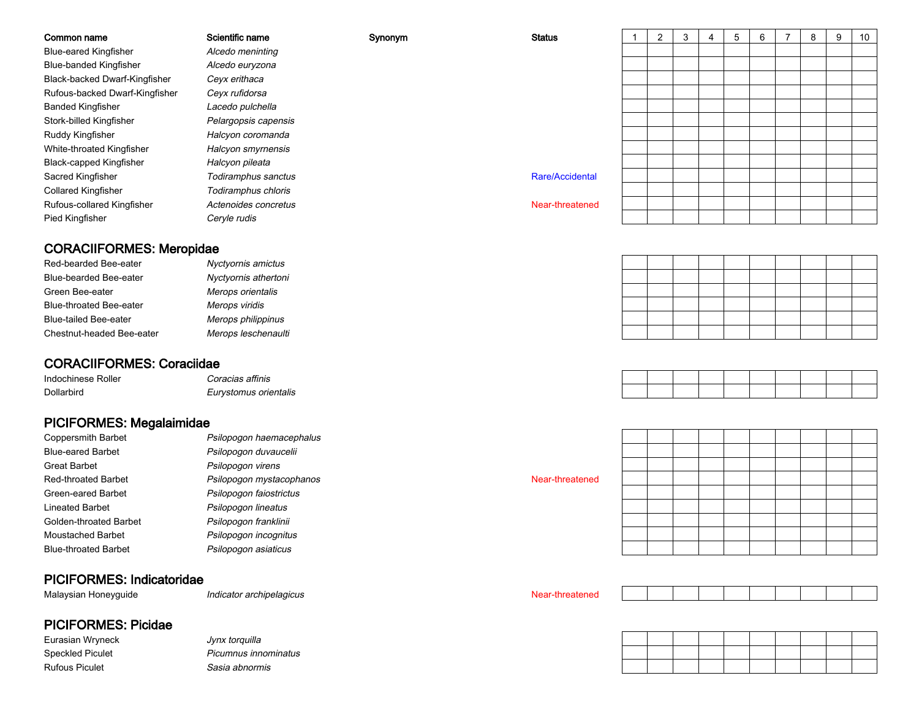| Common name                     | Scientific name      | Synonym | <b>Status</b>   | 2 | 3 | $\overline{4}$ | 5 | 6 | 8 | 9 | 10 |
|---------------------------------|----------------------|---------|-----------------|---|---|----------------|---|---|---|---|----|
| <b>Blue-eared Kingfisher</b>    | Alcedo meninting     |         |                 |   |   |                |   |   |   |   |    |
| <b>Blue-banded Kingfisher</b>   | Alcedo euryzona      |         |                 |   |   |                |   |   |   |   |    |
| Black-backed Dwarf-Kingfisher   | Ceyx erithaca        |         |                 |   |   |                |   |   |   |   |    |
| Rufous-backed Dwarf-Kingfisher  | Ceyx rufidorsa       |         |                 |   |   |                |   |   |   |   |    |
| <b>Banded Kingfisher</b>        | Lacedo pulchella     |         |                 |   |   |                |   |   |   |   |    |
| Stork-billed Kingfisher         | Pelargopsis capensis |         |                 |   |   |                |   |   |   |   |    |
| Ruddy Kingfisher                | Halcyon coromanda    |         |                 |   |   |                |   |   |   |   |    |
| White-throated Kingfisher       | Halcyon smyrnensis   |         |                 |   |   |                |   |   |   |   |    |
| <b>Black-capped Kingfisher</b>  | Halcyon pileata      |         |                 |   |   |                |   |   |   |   |    |
| Sacred Kingfisher               | Todiramphus sanctus  |         | Rare/Accidental |   |   |                |   |   |   |   |    |
| <b>Collared Kingfisher</b>      | Todiramphus chloris  |         |                 |   |   |                |   |   |   |   |    |
| Rufous-collared Kingfisher      | Actenoides concretus |         | Near-threatened |   |   |                |   |   |   |   |    |
| Pied Kingfisher                 | Ceryle rudis         |         |                 |   |   |                |   |   |   |   |    |
|                                 |                      |         |                 |   |   |                |   |   |   |   |    |
| <b>CORACIIFORMES: Meropidae</b> |                      |         |                 |   |   |                |   |   |   |   |    |

| Red-bearded Bee-eater          | Nyctyornis amictus   |
|--------------------------------|----------------------|
| Blue-bearded Bee-eater         | Nyctyornis athertoni |
| Green Bee-eater                | Merops orientalis    |
| <b>Blue-throated Bee-eater</b> | Merops viridis       |
| <b>Blue-tailed Bee-eater</b>   | Merops philippinus   |
| Chestnut-headed Bee-eater      | Merops leschenaulti  |

## CORACIIFORMES: Coraciidae

 Coracias affinisIndochinese Rollerd **Eurystomus orientalis** Dollarbird

#### PICIFORMES: Megalaimidae

| <b>Coppersmith Barbet</b>   | Psilopogon haemacephalus |
|-----------------------------|--------------------------|
| <b>Blue-eared Barbet</b>    | Psilopogon duvaucelii    |
| Great Barbet                | Psilopogon virens        |
| <b>Red-throated Barbet</b>  | Psilopogon mystacophanos |
| Green-eared Barbet          | Psilopogon faiostrictus  |
| Lineated Barbet             | Psilopogon lineatus      |
| Golden-throated Barbet      | Psilopogon franklinii    |
| <b>Moustached Barbet</b>    | Psilopogon incognitus    |
| <b>Blue-throated Barbet</b> | Psilopogon asiaticus     |

#### PICIFORMES: Indicatoridae

Malaysian Honeyguide

Indicator archipelagicus **Near-threatened** 

# PICIFORMES: Picidae

Eurasian WryneckSpeckled PiculetRufous Piculet

 Jynx torquilla Picumnus innominatusSasia abnormis

| Near-threatened |
|-----------------|
|                 |

| ________ |  |  |  |  |  |
|----------|--|--|--|--|--|
| ____     |  |  |  |  |  |
|          |  |  |  |  |  |
|          |  |  |  |  |  |
|          |  |  |  |  |  |
|          |  |  |  |  |  |
|          |  |  |  |  |  |
|          |  |  |  |  |  |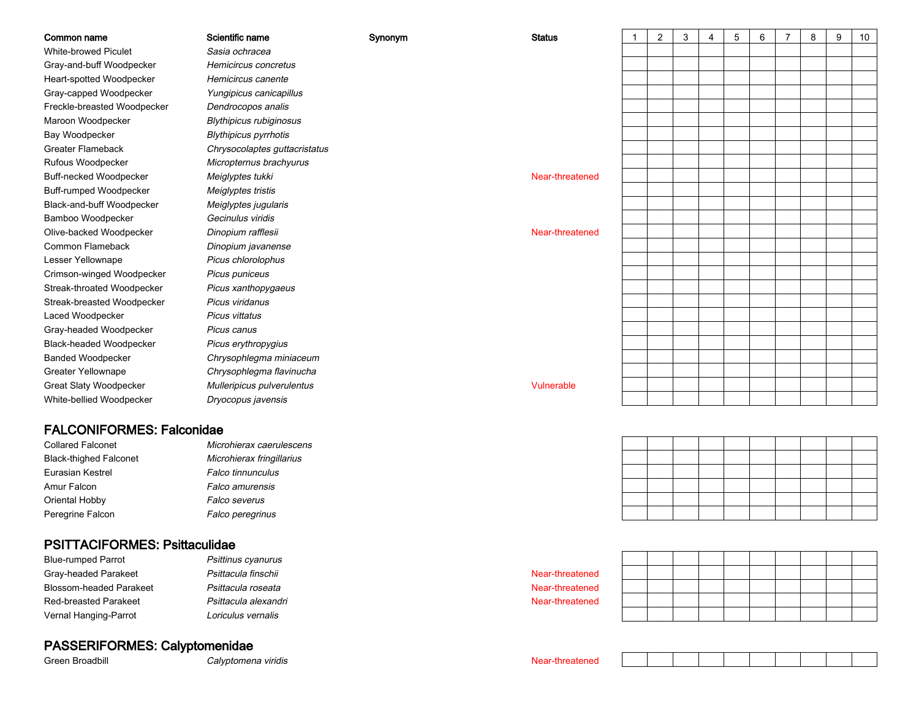| Common name                    | Scientific name                | Synonym | <b>Status</b>   | -1 | 2 | 3 | 4 | 5 | 6 | $\overline{7}$ | 8 | 9 | 10 |
|--------------------------------|--------------------------------|---------|-----------------|----|---|---|---|---|---|----------------|---|---|----|
| White-browed Piculet           | Sasia ochracea                 |         |                 |    |   |   |   |   |   |                |   |   |    |
| Gray-and-buff Woodpecker       | Hemicircus concretus           |         |                 |    |   |   |   |   |   |                |   |   |    |
| Heart-spotted Woodpecker       | Hemicircus canente             |         |                 |    |   |   |   |   |   |                |   |   |    |
| Gray-capped Woodpecker         | Yungipicus canicapillus        |         |                 |    |   |   |   |   |   |                |   |   |    |
| Freckle-breasted Woodpecker    | Dendrocopos analis             |         |                 |    |   |   |   |   |   |                |   |   |    |
| Maroon Woodpecker              | <b>Blythipicus rubiginosus</b> |         |                 |    |   |   |   |   |   |                |   |   |    |
| Bay Woodpecker                 | <b>Blythipicus pyrrhotis</b>   |         |                 |    |   |   |   |   |   |                |   |   |    |
| <b>Greater Flameback</b>       | Chrysocolaptes guttacristatus  |         |                 |    |   |   |   |   |   |                |   |   |    |
| Rufous Woodpecker              | Micropternus brachyurus        |         |                 |    |   |   |   |   |   |                |   |   |    |
| <b>Buff-necked Woodpecker</b>  | Meiglyptes tukki               |         | Near-threatened |    |   |   |   |   |   |                |   |   |    |
| Buff-rumped Woodpecker         | Meiglyptes tristis             |         |                 |    |   |   |   |   |   |                |   |   |    |
| Black-and-buff Woodpecker      | Meiglyptes jugularis           |         |                 |    |   |   |   |   |   |                |   |   |    |
| Bamboo Woodpecker              | Gecinulus viridis              |         |                 |    |   |   |   |   |   |                |   |   |    |
| Olive-backed Woodpecker        | Dinopium rafflesii             |         | Near-threatened |    |   |   |   |   |   |                |   |   |    |
| Common Flameback               | Dinopium javanense             |         |                 |    |   |   |   |   |   |                |   |   |    |
| Lesser Yellownape              | Picus chlorolophus             |         |                 |    |   |   |   |   |   |                |   |   |    |
| Crimson-winged Woodpecker      | Picus puniceus                 |         |                 |    |   |   |   |   |   |                |   |   |    |
| Streak-throated Woodpecker     | Picus xanthopygaeus            |         |                 |    |   |   |   |   |   |                |   |   |    |
| Streak-breasted Woodpecker     | Picus viridanus                |         |                 |    |   |   |   |   |   |                |   |   |    |
| Laced Woodpecker               | Picus vittatus                 |         |                 |    |   |   |   |   |   |                |   |   |    |
| Gray-headed Woodpecker         | Picus canus                    |         |                 |    |   |   |   |   |   |                |   |   |    |
| <b>Black-headed Woodpecker</b> | Picus erythropygius            |         |                 |    |   |   |   |   |   |                |   |   |    |
| <b>Banded Woodpecker</b>       | Chrysophlegma miniaceum        |         |                 |    |   |   |   |   |   |                |   |   |    |
| <b>Greater Yellownape</b>      | Chrysophlegma flavinucha       |         |                 |    |   |   |   |   |   |                |   |   |    |
| <b>Great Slaty Woodpecker</b>  | Mulleripicus pulverulentus     |         | Vulnerable      |    |   |   |   |   |   |                |   |   |    |
| White-bellied Woodpecker       | Dryocopus javensis             |         |                 |    |   |   |   |   |   |                |   |   |    |
|                                |                                |         |                 |    |   |   |   |   |   |                |   |   |    |
|                                |                                |         |                 |    |   |   |   |   |   |                |   |   |    |

#### FALCONIFORMES: Falconidae

Collared FalconetBlack-thighed FalconetEurasian KestrelAmur FalconOriental HobbyPeregrine Falcon

#### Microhierax caerulescens Microhierax fringillarius Falco tinnunculusn **Falco** amurensis Falco severus Falco peregrinus

## PSITTACIFORMES: Psittaculidae

- Psittinus cyanurusBlue-rumped ParrotGray-headed ParakeetBlossom-headed ParakeetRed-breasted ParakeetVernal Hanging-Parrot
	- t **Provide a Participal finschii Near-threatened** entertainment and the entertainment of the entertainment of the entertainment of the entertainment of the entertainment of the entertainment of the entertainment of the ent Psittacula roseataPsittacula alexandri Near-threatened Near-threatened Loriculus vernalis

# PASSERIFORMES: Calyptomenidae

Green Broadbill

Calyptomena viridis

Near-threatened

Near-threatened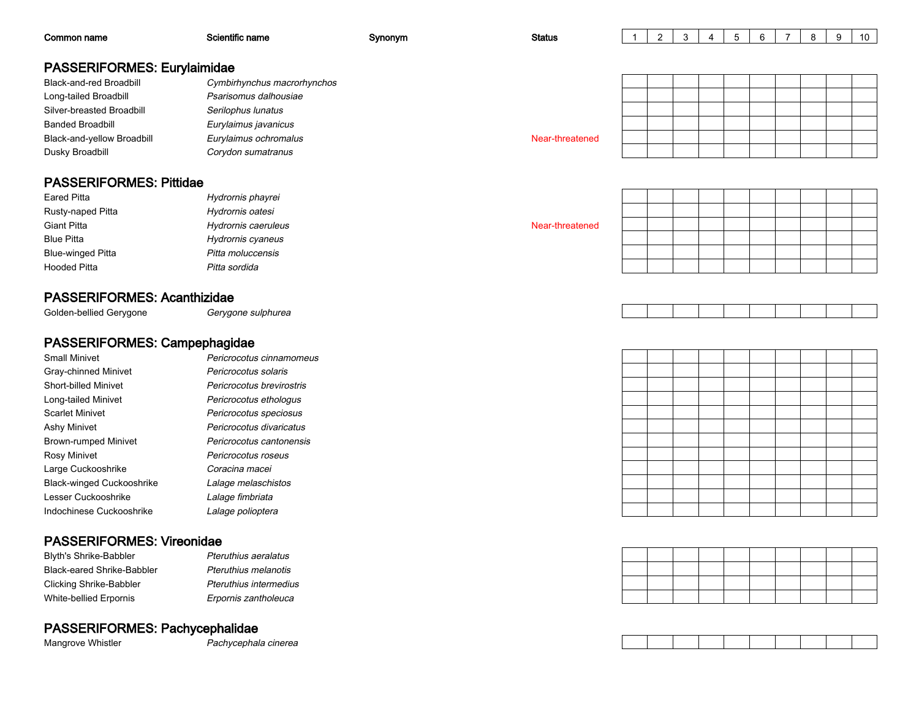| Common name                        | Scientific name             | Synonym | <b>Status</b>   |  |  |  | O | 9 | 10 |
|------------------------------------|-----------------------------|---------|-----------------|--|--|--|---|---|----|
|                                    |                             |         |                 |  |  |  |   |   |    |
| <b>PASSERIFORMES: Eurylaimidae</b> |                             |         |                 |  |  |  |   |   |    |
| Black-and-red Broadbill            | Cymbirhynchus macrorhynchos |         |                 |  |  |  |   |   |    |
| Long-tailed Broadbill              | Psarisomus dalhousiae       |         |                 |  |  |  |   |   |    |
| Silver-breasted Broadbill          | Serilophus lunatus          |         |                 |  |  |  |   |   |    |
| <b>Banded Broadbill</b>            | Eurylaimus javanicus        |         |                 |  |  |  |   |   |    |
| Black-and-yellow Broadbill         | Eurylaimus ochromalus       |         | Near-threatened |  |  |  |   |   |    |
| Dusky Broadbill                    | Corydon sumatranus          |         |                 |  |  |  |   |   |    |
|                                    |                             |         |                 |  |  |  |   |   |    |

#### PASSERIFORMES: Pittidae

| Eared Pitta              | Hydrornis phayrei   |                 |
|--------------------------|---------------------|-----------------|
| Rusty-naped Pitta        | Hydrornis oatesi    |                 |
| <b>Giant Pitta</b>       | Hydrornis caeruleus | Near-threatened |
| Blue Pitta               | Hydrornis cyaneus   |                 |
| <b>Blue-winged Pitta</b> | Pitta moluccensis   |                 |
| Hooded Pitta             | Pitta sordida       |                 |

#### PASSERIFORMES: Acanthizidae

 Gerygone sulphurea Golden-bellied Gerygone

Small MinivetGray-chinned Minivet

Short-billed Minivet

Long-tailed Minivet

Brown-rumped Minivet

Black-winged Cuckooshrike

Indochinese Cuckooshrike

Large Cuckooshrike

Lesser Cuckooshrike

Scarlet Minivet

Ashy Minivet

Rosy Minivet

PASSERIFORMES: Campephagidae Pericrocotus cinnamomeus Pericrocotus solaris Pericrocotus brevirostris Pericrocotus ethologus Pericrocotus speciosus Pericrocotus divaricatus Pericrocotus cantonensis Pericrocotus roseus Coracina macei Lalage melaschistos Lalage fimbriata Lalage polioptera

#### PASSERIFORMES: Vireonidae

| <b>Blyth's Shrike-Babbler</b>     |
|-----------------------------------|
| <b>Black-eared Shrike-Babbler</b> |
| <b>Clicking Shrike-Babbler</b>    |
| White-bellied Erpornis            |

 Pteruthius aeralatus Pteruthius melanotis Pteruthius intermediuss **E**rpornis zantholeuca

#### PASSERIFORMES: Pachycephalidae

Mangrove Whistler

Pachycephala cinerea





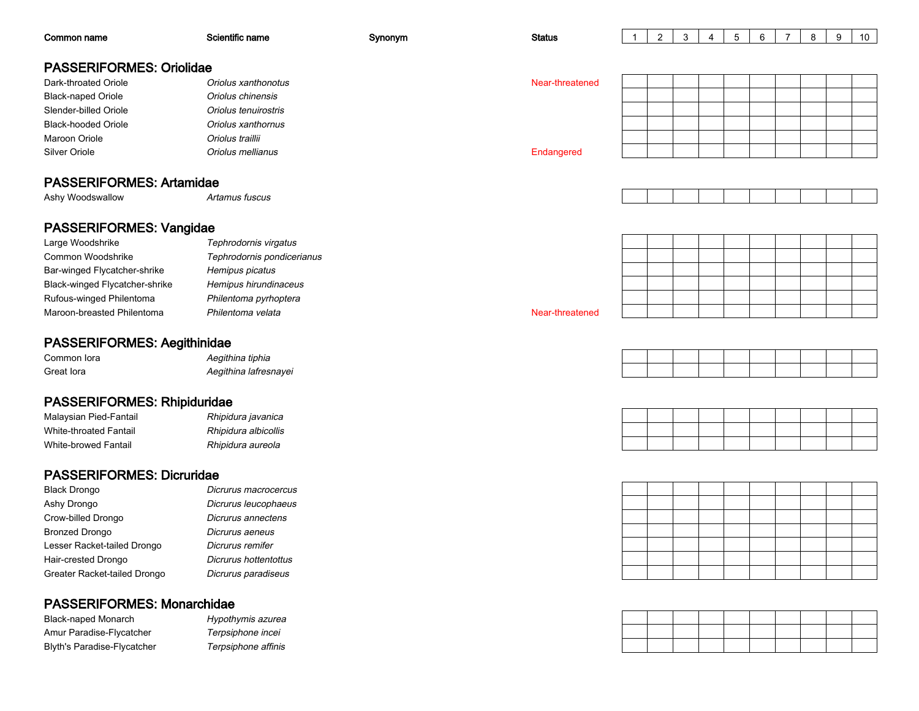| Common name                        | Scientific name            | Synonym | <b>Status</b>   | 2 | 3 | $\overline{4}$ | 5 | 6 | $\overline{7}$ | 8 | 9 | 10 |
|------------------------------------|----------------------------|---------|-----------------|---|---|----------------|---|---|----------------|---|---|----|
| <b>PASSERIFORMES: Oriolidae</b>    |                            |         |                 |   |   |                |   |   |                |   |   |    |
| Dark-throated Oriole               | Oriolus xanthonotus        |         | Near-threatened |   |   |                |   |   |                |   |   |    |
|                                    |                            |         |                 |   |   |                |   |   |                |   |   |    |
| <b>Black-naped Oriole</b>          | Oriolus chinensis          |         |                 |   |   |                |   |   |                |   |   |    |
| Slender-billed Oriole              | Oriolus tenuirostris       |         |                 |   |   |                |   |   |                |   |   |    |
| <b>Black-hooded Oriole</b>         | Oriolus xanthornus         |         |                 |   |   |                |   |   |                |   |   |    |
| Maroon Oriole                      | Oriolus traillii           |         |                 |   |   |                |   |   |                |   |   |    |
| Silver Oriole                      | Oriolus mellianus          |         | Endangered      |   |   |                |   |   |                |   |   |    |
|                                    |                            |         |                 |   |   |                |   |   |                |   |   |    |
| <b>PASSERIFORMES: Artamidae</b>    |                            |         |                 |   |   |                |   |   |                |   |   |    |
| Ashy Woodswallow                   | Artamus fuscus             |         |                 |   |   |                |   |   |                |   |   |    |
|                                    |                            |         |                 |   |   |                |   |   |                |   |   |    |
| PASSERIFORMES: Vangidae            |                            |         |                 |   |   |                |   |   |                |   |   |    |
| Large Woodshrike                   | Tephrodornis virgatus      |         |                 |   |   |                |   |   |                |   |   |    |
| Common Woodshrike                  | Tephrodornis pondicerianus |         |                 |   |   |                |   |   |                |   |   |    |
| Bar-winged Flycatcher-shrike       | Hemipus picatus            |         |                 |   |   |                |   |   |                |   |   |    |
| Black-winged Flycatcher-shrike     | Hemipus hirundinaceus      |         |                 |   |   |                |   |   |                |   |   |    |
| Rufous-winged Philentoma           | Philentoma pyrhoptera      |         |                 |   |   |                |   |   |                |   |   |    |
| Maroon-breasted Philentoma         | Philentoma velata          |         | Near-threatened |   |   |                |   |   |                |   |   |    |
|                                    |                            |         |                 |   |   |                |   |   |                |   |   |    |
| PASSERIFORMES: Aegithinidae        |                            |         |                 |   |   |                |   |   |                |   |   |    |
| Common lora                        | Aegithina tiphia           |         |                 |   |   |                |   |   |                |   |   |    |
| Great lora                         | Aegithina lafresnayei      |         |                 |   |   |                |   |   |                |   |   |    |
|                                    |                            |         |                 |   |   |                |   |   |                |   |   |    |
| <b>PASSERIFORMES: Rhipiduridae</b> |                            |         |                 |   |   |                |   |   |                |   |   |    |
| Malaysian Pied-Fantail             | Rhipidura javanica         |         |                 |   |   |                |   |   |                |   |   |    |

Malaysian Pied-FantailWhite-throated FantailWhite-browed Fantail

 Rhipidura albicollisRhipidura aureola

#### PASSERIFORMES: Dicruridae

| <b>Black Drongo</b>          | Dicrurus macrocercus  |
|------------------------------|-----------------------|
| Ashy Drongo                  | Dicrurus leucophaeus  |
| Crow-billed Drongo           | Dicrurus annectens    |
| <b>Bronzed Drongo</b>        | Dicrurus aeneus       |
| Lesser Racket-tailed Drongo  | Dicrurus remifer      |
| Hair-crested Drongo          | Dicrurus hottentottus |
| Greater Racket-tailed Drongo | Dicrurus paradiseus   |
|                              |                       |

#### Dicrurus leucophaeus Dicrurus annectens Dicrurus aeneus Dicrurus remifer Dicrurus hottentottus Dicrurus paradiseus

#### PASSERIFORMES: Monarchidae

Black-naped MonarchAmur Paradise-FlycatcherBlyth's Paradise-Flycatcher

 Hypothymis azurea Terpsiphone incei Terpsiphone affinis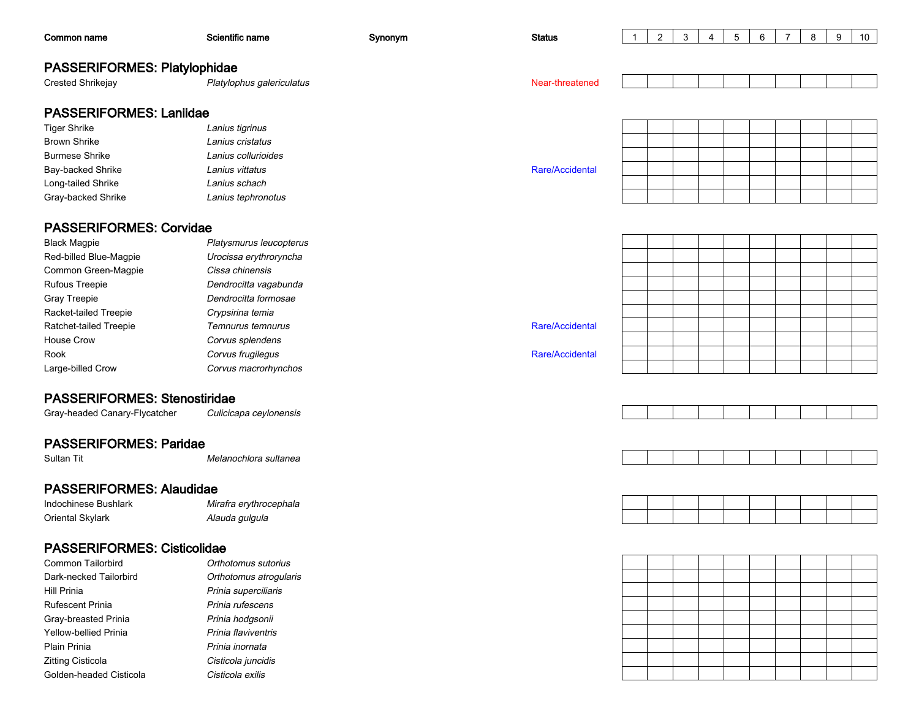| Common name                         | Scientific name           | Synonym | <b>Status</b>   | $\mathbf{1}$ | $\sqrt{2}$ | 3 | 4 | $\mathbf 5$ | 6 | $\overline{7}$ | 8 | 9 | 10 |
|-------------------------------------|---------------------------|---------|-----------------|--------------|------------|---|---|-------------|---|----------------|---|---|----|
|                                     |                           |         |                 |              |            |   |   |             |   |                |   |   |    |
| <b>PASSERIFORMES: Platylophidae</b> |                           |         |                 |              |            |   |   |             |   |                |   |   |    |
| Crested Shrikejay                   | Platylophus galericulatus |         | Near-threatened |              |            |   |   |             |   |                |   |   |    |
|                                     |                           |         |                 |              |            |   |   |             |   |                |   |   |    |
| <b>PASSERIFORMES: Laniidae</b>      |                           |         |                 |              |            |   |   |             |   |                |   |   |    |
| <b>Tiger Shrike</b>                 | Lanius tigrinus           |         |                 |              |            |   |   |             |   |                |   |   |    |
| <b>Brown Shrike</b>                 | Lanius cristatus          |         |                 |              |            |   |   |             |   |                |   |   |    |
| <b>Burmese Shrike</b>               | Lanius collurioides       |         |                 |              |            |   |   |             |   |                |   |   |    |
| Bay-backed Shrike                   | Lanius vittatus           |         | Rare/Accidental |              |            |   |   |             |   |                |   |   |    |
| Long-tailed Shrike                  | Lanius schach             |         |                 |              |            |   |   |             |   |                |   |   |    |
| Gray-backed Shrike                  | Lanius tephronotus        |         |                 |              |            |   |   |             |   |                |   |   |    |
|                                     |                           |         |                 |              |            |   |   |             |   |                |   |   |    |
| <b>PASSERIFORMES: Corvidae</b>      |                           |         |                 |              |            |   |   |             |   |                |   |   |    |
| <b>Black Magpie</b>                 | Platysmurus leucopterus   |         |                 |              |            |   |   |             |   |                |   |   |    |
| Red-billed Blue-Magpie              | Urocissa erythroryncha    |         |                 |              |            |   |   |             |   |                |   |   |    |
| Common Green-Magpie                 | Cissa chinensis           |         |                 |              |            |   |   |             |   |                |   |   |    |
| Rufous Treepie                      | Dendrocitta vagabunda     |         |                 |              |            |   |   |             |   |                |   |   |    |
| <b>Gray Treepie</b>                 | Dendrocitta formosae      |         |                 |              |            |   |   |             |   |                |   |   |    |
| Racket-tailed Treepie               | Crypsirina temia          |         |                 |              |            |   |   |             |   |                |   |   |    |
| Ratchet-tailed Treepie              | Temnurus temnurus         |         | Rare/Accidental |              |            |   |   |             |   |                |   |   |    |
| House Crow                          | Corvus splendens          |         |                 |              |            |   |   |             |   |                |   |   |    |
| Rook                                | Corvus frugilegus         |         | Rare/Accidental |              |            |   |   |             |   |                |   |   |    |
| Large-billed Crow                   | Corvus macrorhynchos      |         |                 |              |            |   |   |             |   |                |   |   |    |
|                                     |                           |         |                 |              |            |   |   |             |   |                |   |   |    |
| <b>PASSERIFORMES: Stenostiridae</b> |                           |         |                 |              |            |   |   |             |   |                |   |   |    |
| Gray-headed Canary-Flycatcher       | Culicicapa ceylonensis    |         |                 |              |            |   |   |             |   |                |   |   |    |
|                                     |                           |         |                 |              |            |   |   |             |   |                |   |   |    |
| <b>PASSERIFORMES: Paridae</b>       |                           |         |                 |              |            |   |   |             |   |                |   |   |    |
| Sultan Tit                          | Melanochlora sultanea     |         |                 |              |            |   |   |             |   |                |   |   |    |
|                                     |                           |         |                 |              |            |   |   |             |   |                |   |   |    |
| <b>PASSERIFORMES: Alaudidae</b>     |                           |         |                 |              |            |   |   |             |   |                |   |   |    |
| Indochinese Bushlark                | Mirafra erythrocephala    |         |                 |              |            |   |   |             |   |                |   |   |    |
| Oriental Skylark                    | Alauda gulgula            |         |                 |              |            |   |   |             |   |                |   |   |    |
| <b>PASSERIFORMES: Cisticolidae</b>  |                           |         |                 |              |            |   |   |             |   |                |   |   |    |
| Common Tailorbird                   | Orthotomus sutorius       |         |                 |              |            |   |   |             |   |                |   |   |    |
| Dark-necked Tailorbird              | Orthotomus atrogularis    |         |                 |              |            |   |   |             |   |                |   |   |    |
| Hill Prinia                         | Prinia superciliaris      |         |                 |              |            |   |   |             |   |                |   |   |    |
| <b>Rufescent Prinia</b>             | Prinia rufescens          |         |                 |              |            |   |   |             |   |                |   |   |    |
| Gray-breasted Prinia                | Prinia hodgsonii          |         |                 |              |            |   |   |             |   |                |   |   |    |
| Yellow-bellied Prinia               | Prinia flaviventris       |         |                 |              |            |   |   |             |   |                |   |   |    |
| Plain Prinia                        | Prinia inornata           |         |                 |              |            |   |   |             |   |                |   |   |    |
|                                     |                           |         |                 |              |            |   |   |             |   |                |   |   |    |

Zitting Cisticola

Golden-headed Cisticola

Cisticola juncidis

Cisticola exilis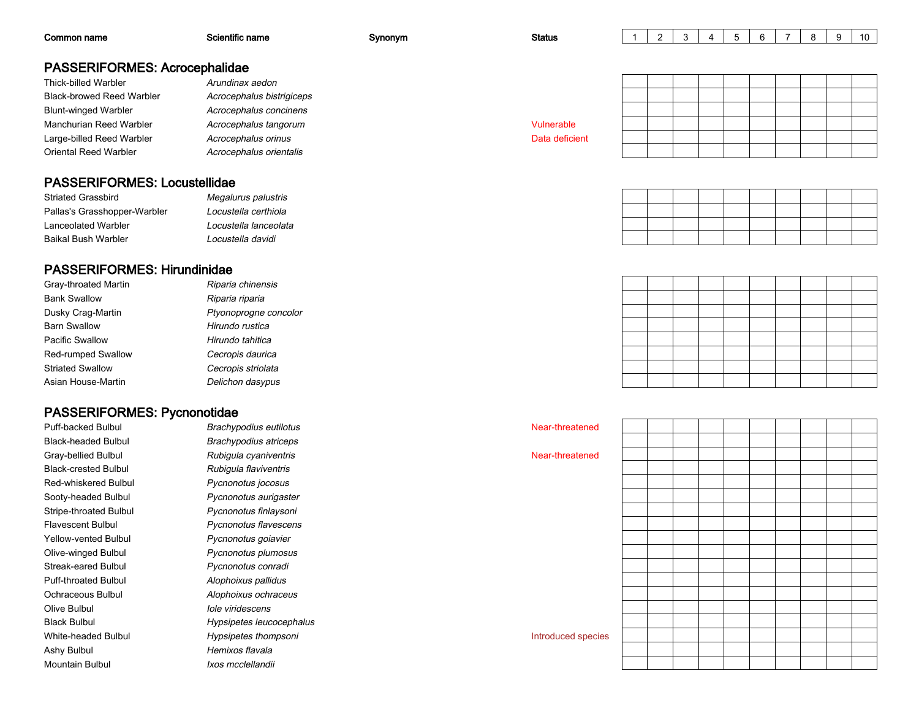| Common name                   | Scientific name           | Synonym | <b>Status</b>  | ົ | 3 |  |  | 9 | 10 |
|-------------------------------|---------------------------|---------|----------------|---|---|--|--|---|----|
|                               |                           |         |                |   |   |  |  |   |    |
| PASSERIFORMES: Acrocephalidae |                           |         |                |   |   |  |  |   |    |
| Thick-billed Warbler          | Arundinax aedon           |         |                |   |   |  |  |   |    |
| Black-browed Reed Warbler     | Acrocephalus bistrigiceps |         |                |   |   |  |  |   |    |
| Blunt-winged Warbler          | Acrocephalus concinens    |         |                |   |   |  |  |   |    |
| Manchurian Reed Warbler       | Acrocephalus tangorum     |         | Vulnerable     |   |   |  |  |   |    |
| Large-billed Reed Warbler     | Acrocephalus orinus       |         | Data deficient |   |   |  |  |   |    |
| Oriental Reed Warbler         | Acrocephalus orientalis   |         |                |   |   |  |  |   |    |
|                               |                           |         |                |   |   |  |  |   |    |

#### PASSERIFORMES: Locustellidae

| <b>Striated Grassbird</b>    | Megalurus palustris   |
|------------------------------|-----------------------|
| Pallas's Grasshopper-Warbler | Locustella certhiola  |
| Lanceolated Warbler          | Locustella lanceolata |
| Baikal Bush Warbler          | Locustella davidi     |

#### PASSERIFORMES: Hirundinidae

| Gray-throated Martin      | Riparia chinensis     |
|---------------------------|-----------------------|
| <b>Bank Swallow</b>       | Riparia riparia       |
| Dusky Crag-Martin         | Ptyonoprogne concolor |
| <b>Barn Swallow</b>       | Hirundo rustica       |
| <b>Pacific Swallow</b>    | Hirundo tahitica      |
| <b>Red-rumped Swallow</b> | Cecropis daurica      |
| <b>Striated Swallow</b>   | Cecropis striolata    |
| Asian House-Martin        | Delichon dasypus      |
|                           |                       |

#### PASSERIFORMES: Pycnonotidae

Puff-backed BulbulBlack-headed BulbulGray-bellied BulbulBlack-crested BulbulRed-whiskered BulbulSooty-headed BulbulStripe-throated BulbulFlavescent BulbulYellow-vented BulbulOlive-winged BulbulStreak-eared BulbulPuff-throated BulbulOchraceous BulbulOlive BulbulBlack BulbulWhite-headed BulbulAshy BulbulI**Xos mcclellandii** Mountain Bulbul

 Brachypodius eutilotus Brachypodius atriceps Rubigula cyaniventris Rubigula flaviventris Pycnonotus jocosusI **Pycnonotus aurigaster**  Pycnonotus finlaysoni Pycnonotus flavescens Pycnonotus goiavier Pycnonotus plumosus Pycnonotus conradi Alophoixus pallidus Alophoixus ochraceus Iole viridescensI extending the Hypsipetes leucocephalus Hypsipetes thompsoni **Interventional Section** 1 and 1 and 1 and 1 and 1 and 1 and 1 and 1 and 1 and 1 and 1 and 1 and 1 and 1 and 1 and 1 and 1 and 1 and 1 and 1 and 1 and 1 and 1 and 1 and 1 and 1 and 1 and 1 and 1 and 1 Hemixos flavala

 Near-threatenedNear-threatened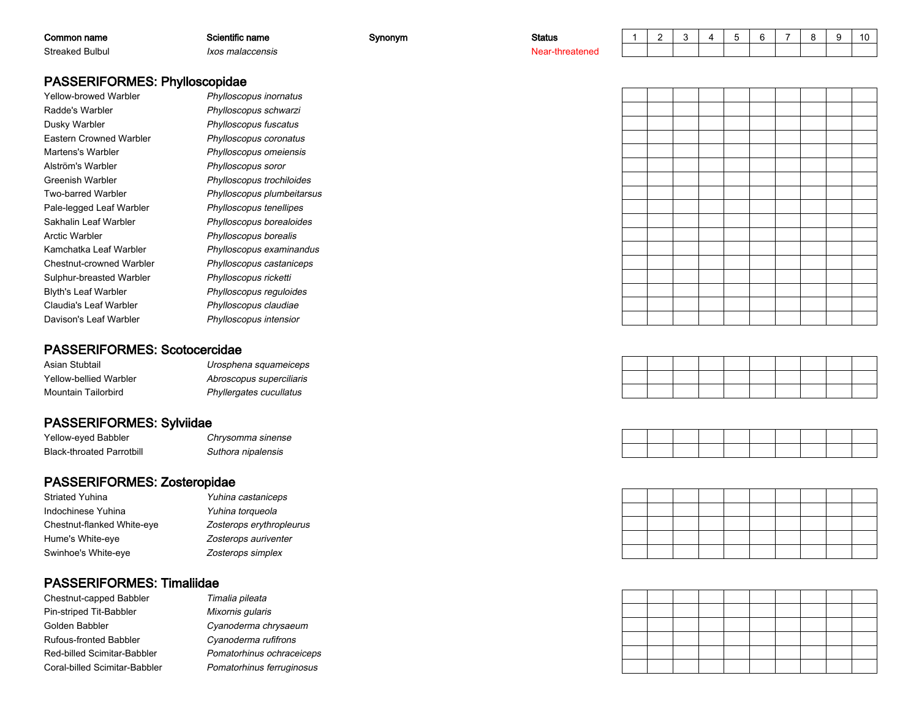| Common name            |  |
|------------------------|--|
| <b>Streaked Bulbul</b> |  |

Ixos malaccensis

Scientific name Synonym

Near-threatened

m Status 1 2 3 4 5 6 7 8 9 10



| <b>PASSERIFORMES: Phylloscopidae</b> |  |  |
|--------------------------------------|--|--|
|                                      |  |  |

| <b>Yellow-browed Warbler</b>   | Phylloscopus inornatus     |
|--------------------------------|----------------------------|
| Radde's Warbler                | Phylloscopus schwarzi      |
| Dusky Warbler                  | Phylloscopus fuscatus      |
| <b>Eastern Crowned Warbler</b> | Phylloscopus coronatus     |
| Martens's Warbler              | Phylloscopus omeiensis     |
| Alström's Warbler              | Phylloscopus soror         |
| Greenish Warbler               | Phylloscopus trochiloides  |
| Two-barred Warbler             | Phylloscopus plumbeitarsus |
| Pale-legged Leaf Warbler       | Phylloscopus tenellipes    |
| Sakhalin Leaf Warbler          | Phylloscopus borealoides   |
| Arctic Warbler                 | Phylloscopus borealis      |
| Kamchatka Leaf Warbler         | Phylloscopus examinandus   |
| Chestnut-crowned Warbler       | Phylloscopus castaniceps   |
| Sulphur-breasted Warbler       | Phylloscopus ricketti      |
| <b>Blyth's Leaf Warbler</b>    | Phylloscopus reguloides    |
| <b>Claudia's Leaf Warbler</b>  | Phylloscopus claudiae      |
| Davison's Leaf Warbler         | Phylloscopus intensior     |

#### PASSERIFORMES: Scotocercidae

| Asian Stubtail         | Urosphena squameiceps    |
|------------------------|--------------------------|
| Yellow-bellied Warbler | Abroscopus superciliaris |
| Mountain Tailorbird    | Phyllergates cucullatus  |

#### PASSERIFORMES: Sylviidae

Yellow-eyed BabblerBlack-throated Parrotbill

 Chrysomma sinenseSuthora nipalensis

#### PASSERIFORMES: Zosteropidae

| Striated Yuhina            | Yuhina castaniceps  |
|----------------------------|---------------------|
| Indochinese Yuhina         | Yuhina torqueola    |
| Chestnut-flanked White-eye | Zosterops erythropl |
| Hume's White-eye           | Zosterops aurivente |
| Swinhoe's White-eye        | Zosterops simplex   |

 Yuhina torqueola Zosterops erythropleurus Zosterops auriventer Zosterops simplex

## PASSERIFORMES: Timaliidae

| Chestnut-capped Babbler       |
|-------------------------------|
| Pin-striped Tit-Babbler       |
| Golden Babbler                |
| Rufous-fronted Babbler        |
| Red-billed Scimitar-Babbler   |
| Coral-billed Scimitar-Babbler |

 Timalia pileata Mixornis gularis Cyanoderma chrysaeum Cyanoderma rufifrons Pomatorhinus ochraceicepsPomatorhinus ferruginosus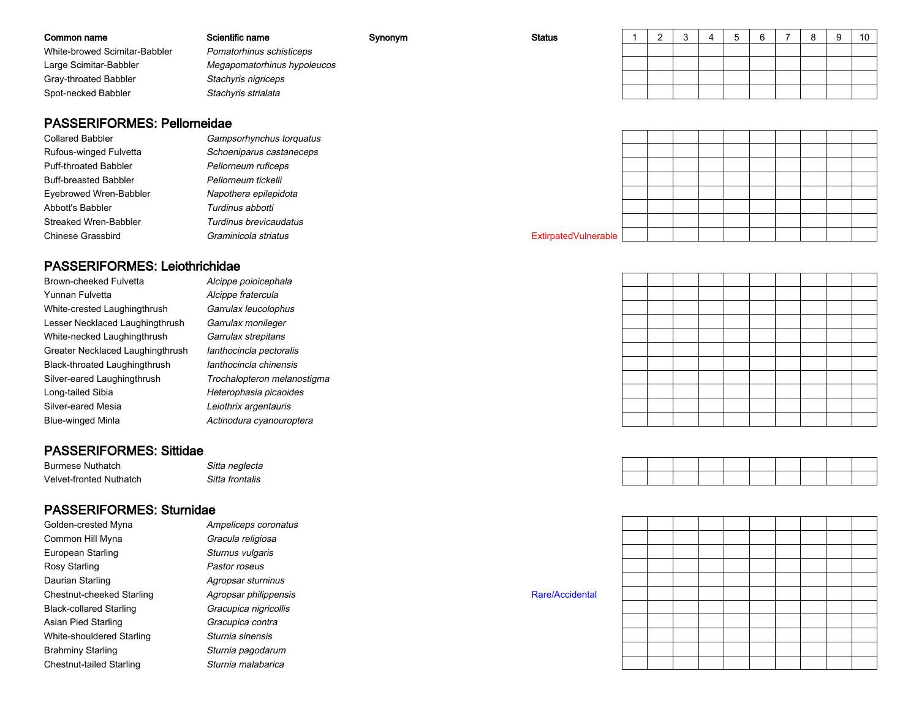| Common name                   | Scientific name             | Synonym | <b>Status</b> |  |  |  |  | 10 |
|-------------------------------|-----------------------------|---------|---------------|--|--|--|--|----|
| White-browed Scimitar-Babbler | Pomatorhinus schisticeps    |         |               |  |  |  |  |    |
| Large Scimitar-Babbler        | Megapomatorhinus hypoleucos |         |               |  |  |  |  |    |
| Gray-throated Babbler         | Stachyris nigriceps         |         |               |  |  |  |  |    |
| Spot-necked Babbler           | Stachyris strialata         |         |               |  |  |  |  |    |

#### PASSERIFORMES: Pellorneidae

#### Gampsorhynchus torquatusCollared Babbler

 Schoeniparus castaneceps Rufous-winged FulvettaPuff-throated Babbler Pellorneum ruficepsBuff-breasted Babbler Pellorneum tickelli Eyebrowed Wren-Babbler Napothera epilepidotaAbbott's Babbler Turdinus abbotti Streaked Wren-Babbler Turdinus brevicaudatusChinese GrassbirdGraminicola striatus

#### PASSERIFORMES: Leiothrichidae

| Alcippe poioicephala        |
|-----------------------------|
| Alcippe fratercula          |
| Garrulax leucolophus        |
| Garrulax monileger          |
| Garrulax strepitans         |
| lanthocincla pectoralis     |
| lanthocincla chinensis      |
| Trochalopteron melanostigma |
| Heterophasia picaoides      |
| Leiothrix argentauris       |
| Actinodura cyanouroptera    |
|                             |

#### PASSERIFORMES: Sittidae

| <b>Burmese Nuthatch</b>        | Sitta neglecta  |
|--------------------------------|-----------------|
| <b>Velvet-fronted Nuthatch</b> | Sitta frontalis |

#### PASSERIFORMES: Sturnidae

| Golden-crested Myna       | Ampeliceps corona   |
|---------------------------|---------------------|
| Common Hill Myna          | Gracula religiosa   |
| European Starling         | Sturnus vulgaris    |
| Rosy Starling             | Pastor roseus       |
| Daurian Starling          | Agropsar sturninus  |
| Chestnut-cheeked Starling | Agropsar philippen  |
| Black-collared Starling   | Gracupica nigricoll |
| Asian Pied Starling       | Gracupica contra    |
| White-shouldered Starling | Sturnia sinensis    |
| Brahminy Starling         | Sturnia pagodarum   |
| Chestnut-tailed Starling  | Sturnia malabarica  |
|                           |                     |

 Ampeliceps coronatus Gracula religiosa Sturnus vulgaris Pastor roseus Agropsar sturninus Agropsar philippensis **Rare/Accidental**  Gracupica nigricollis Gracupica contra Sturnia sinensis Sturnia pagodarum

| <b>ExtirpatedVulnerable</b> |  |
|-----------------------------|--|

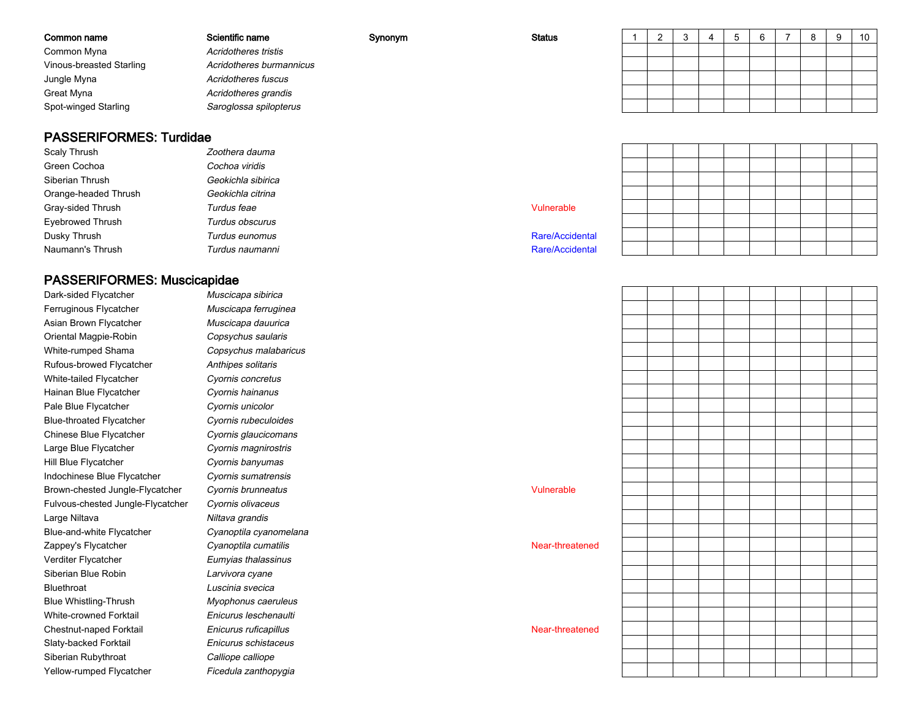| Common name                 | Scientific name          | Synonym | <b>Status</b> | ◠ |  | b |  | 10 |
|-----------------------------|--------------------------|---------|---------------|---|--|---|--|----|
| Common Myna                 | Acridotheres tristis     |         |               |   |  |   |  |    |
| Vinous-breasted Starling    | Acridotheres burmannicus |         |               |   |  |   |  |    |
| Jungle Myna                 | Acridotheres fuscus      |         |               |   |  |   |  |    |
| Great Myna                  | Acridotheres grandis     |         |               |   |  |   |  |    |
| <b>Spot-winged Starling</b> | Saroglossa spilopterus   |         |               |   |  |   |  |    |

#### PASSERIFORMES: Turdidae

| Scaly Thrush         | Zoothera dauma     |                |
|----------------------|--------------------|----------------|
| Green Cochoa         | Cochoa viridis     |                |
| Siberian Thrush      | Geokichla sibirica |                |
| Orange-headed Thrush | Geokichla citrina  |                |
| Gray-sided Thrush    | Turdus feae        | Vulnerable     |
| Eyebrowed Thrush     | Turdus obscurus    |                |
| Dusky Thrush         | Turdus eunomus     | Rare/Accidenta |
| Naumann's Thrush     | Turdus naumanni    | Rare/Accidenta |

#### PASSERIFORMES: Muscicapidae

Dark-sided FlycatcherFerruginous FlycatcherAsian Brown FlycatcherOriental Magpie-RobinWhite-rumped ShamaRufous-browed FlycatcherWhite-tailed FlycatcherHainan Blue FlycatcherPale Blue FlycatcherBlue-throated FlycatcherChinese Blue FlycatcherLarge Blue FlycatcherHill Blue FlycatcherIndochinese Blue FlycatcherBrown-chested Jungle-FlycatcherFulvous-chested Jungle-FlycatcherLarge NiltavaBlue-and-white FlycatcherZappey's FlycatcherVerditer FlycatcherSiberian Blue Robin**Bluethroat** Blue Whistling-ThrushWhite-crowned ForktailChestnut-naped ForktailSlaty-backed ForktailSiberian Rubythroatr Ficedula zanthopygia Yellow-rumped Flycatcher

 Muscicapa sibirica Muscicapa ferruginea Muscicapa dauurica Copsychus saularis Copsychus malabaricus Anthipes solitaris Cyornis concretus Cyornis hainanus Cyornis unicolor Cyornis rubeculoides Cyornis glaucicomans Cyornis magnirostris Cyornis banyumas Cyornis sumatrensis Cyornis brunneatuss and the contract of the contract of the contract of the contract of the contract of the contract of the contract of the contract of the contract of the contract of the contract of the contract of the contract of the cont Cyornis olivaceus Niltava grandis Cyanoptila cyanomelana Cyanoptila cumatilis Eumyias thalassinus Larvivora cyane Luscinia svecicah Myophonus caeruleus Enicurus leschenaulti Enicurus ruficapillus Enicurus schistaceusCalliope calliope

Near-threatened

Near-threatened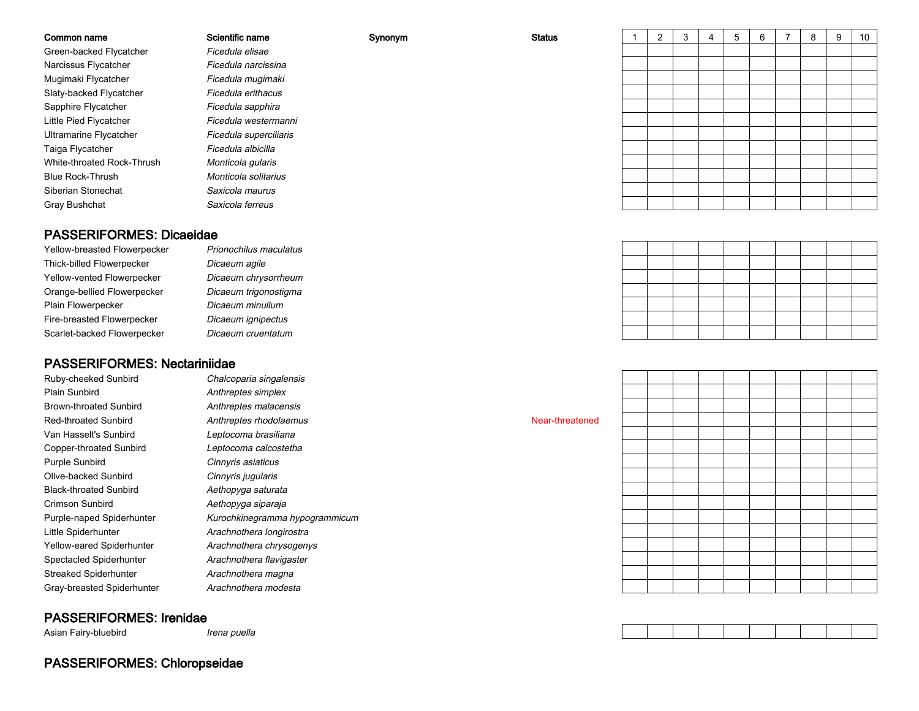#### Common name

Green-backed Flycatcher

Narcissus Flycatcher

Mugimaki FlycatcherSlaty-backed Flycatcher

Sapphire Flycatcher

Little Pied FlycatcherUltramarine Flycatcher

White-throated Rock-Thrush

Yellow-breasted FlowerpeckerThick-billed Flowerpecker

Yellow-vented Flowerpecker

Orange-bellied Flowerpecker

Fire-breasted Flowerpecker

Scarlet-backed Flowerpecker

Taiga Flycatcher

Blue Rock-Thrush

Siberian Stonechat

Plain Flowerpecker

Gray Bushchat

#### Scientific name Synonym

Prionochilus maculatus

 Dicaeum agileDicaeum chrysorrheum

Dicaeum trigonostigma

Dicaeum ignipectus

r **Dicaeum cruentatum** 

Dicaeum minullum

 Ficedula elisaer **Ficedula narcissina** r **Ficedula mugimaki**  Ficedula erithacusr **Ficedula sapphira**  Ficedula westermanni Ficedula superciliaris Ficedula albicillah *Monticola gularis*  Monticola solitarius Saxicola maurust **Saxicola ferreus** 

#### PASSERIFORMES: Dicaeidae

# PASSERIFORMES: Nectariniidae

Ruby-cheeked SunbirdPlain SunbirdBrown-throated SunbirdRed-throated SunbirdVan Hasselt's SunbirdCopper-throated SunbirdPurple SunbirdOlive-backed SunbirdBlack-throated SunbirdCrimson SunbirdPurple-naped SpiderhunterLittle SpiderhunterYellow-eared SpiderhunterSpectacled SpiderhunterStreaked SpiderhunterGray-breasted Spiderhunter

 Chalcoparia singalensis Anthreptes simplex Anthreptes malacensis Anthreptes rhodolaemus **Near-threatened Near-threatened**  Leptocoma brasiliana Leptocoma calcostetha Cinnyris asiaticus Cinnyris jugularis Aethopyga saturata Aethopyga siparaja Kurochkinegramma hypogrammicum Arachnothera longirostra Arachnothera chrysogenys Arachnothera flavigaster Arachnothera magnaArachnothera modesta

#### PASSERIFORMES: Irenidae

Asian Fairy-bluebird

Irena puella

| m | <b>Status</b> | 1 | 2 | 3 | 4 | 5 | 6 | $\overline{7}$ | 8 | 9 | 10 |
|---|---------------|---|---|---|---|---|---|----------------|---|---|----|
|   |               |   |   |   |   |   |   |                |   |   |    |
|   |               |   |   |   |   |   |   |                |   |   |    |
|   |               |   |   |   |   |   |   |                |   |   |    |
|   |               |   |   |   |   |   |   |                |   |   |    |
|   |               |   |   |   |   |   |   |                |   |   |    |
|   |               |   |   |   |   |   |   |                |   |   |    |
|   |               |   |   |   |   |   |   |                |   |   |    |
|   |               |   |   |   |   |   |   |                |   |   |    |
|   |               |   |   |   |   |   |   |                |   |   |    |
|   |               |   |   |   |   |   |   |                |   |   |    |
|   |               |   |   |   |   |   |   |                |   |   |    |
|   |               |   |   |   |   |   |   |                |   |   |    |

 $\mathcal{L}(\mathcal{A})$ 

#### PASSERIFORMES: Chloropseidae